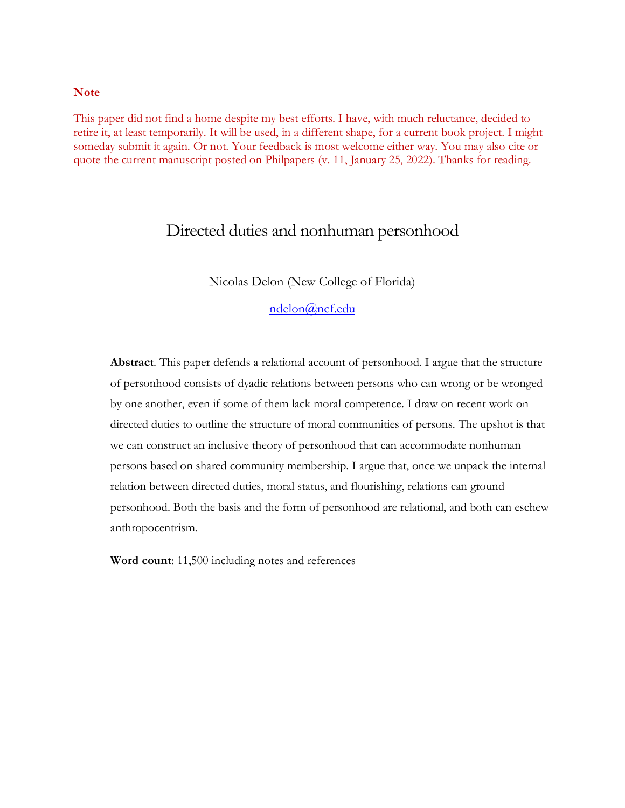### **Note**

This paper did not find a home despite my best efforts. I have, with much reluctance, decided to retire it, at least temporarily. It will be used, in a different shape, for a current book project. I might someday submit it again. Or not. Your feedback is most welcome either way. You may also cite or quote the current manuscript posted on Philpapers (v. 11, January 25, 2022). Thanks for reading.

# Directed duties and nonhuman personhood

Nicolas Delon (New College of Florida)

[ndelon@ncf.edu](mailto:ndelon@ncf.edu)

**Abstract**. This paper defends a relational account of personhood. I argue that the structure of personhood consists of dyadic relations between persons who can wrong or be wronged by one another, even if some of them lack moral competence. I draw on recent work on directed duties to outline the structure of moral communities of persons. The upshot is that we can construct an inclusive theory of personhood that can accommodate nonhuman persons based on shared community membership. I argue that, once we unpack the internal relation between directed duties, moral status, and flourishing, relations can ground personhood. Both the basis and the form of personhood are relational, and both can eschew anthropocentrism.

**Word count**: 11,500 including notes and references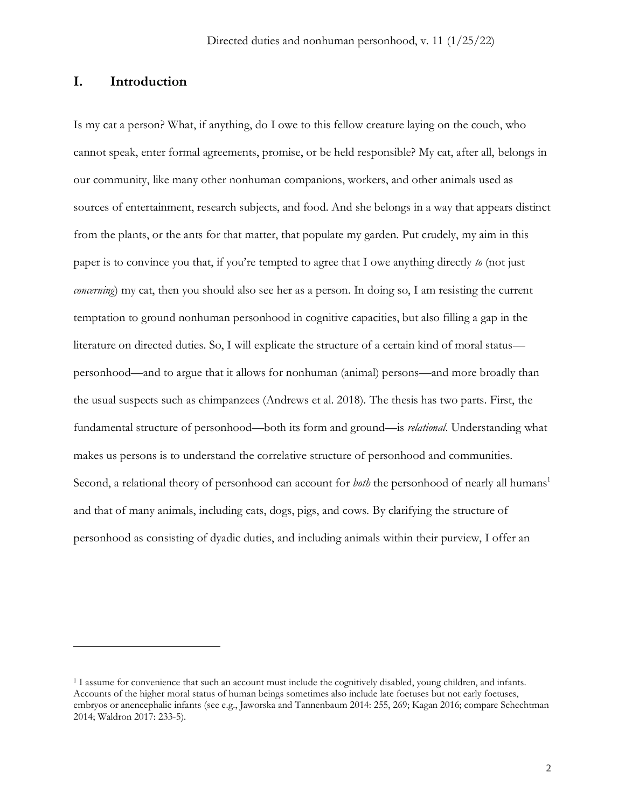## **I. Introduction**

Is my cat a person? What, if anything, do I owe to this fellow creature laying on the couch, who cannot speak, enter formal agreements, promise, or be held responsible? My cat, after all, belongs in our community, like many other nonhuman companions, workers, and other animals used as sources of entertainment, research subjects, and food. And she belongs in a way that appears distinct from the plants, or the ants for that matter, that populate my garden. Put crudely, my aim in this paper is to convince you that, if you're tempted to agree that I owe anything directly *to* (not just *concerning*) my cat, then you should also see her as a person. In doing so, I am resisting the current temptation to ground nonhuman personhood in cognitive capacities, but also filling a gap in the literature on directed duties. So, I will explicate the structure of a certain kind of moral status personhood—and to argue that it allows for nonhuman (animal) persons—and more broadly than the usual suspects such as chimpanzees (Andrews et al. 2018). The thesis has two parts. First, the fundamental structure of personhood—both its form and ground—is *relational*. Understanding what makes us persons is to understand the correlative structure of personhood and communities. Second, a relational theory of personhood can account for *both* the personhood of nearly all humans<sup>1</sup> and that of many animals, including cats, dogs, pigs, and cows. By clarifying the structure of personhood as consisting of dyadic duties, and including animals within their purview, I offer an

<sup>1</sup> I assume for convenience that such an account must include the cognitively disabled, young children, and infants. Accounts of the higher moral status of human beings sometimes also include late foetuses but not early foetuses, embryos or anencephalic infants (see e.g., Jaworska and Tannenbaum 2014: 255, 269; Kagan 2016; compare Schechtman 2014; Waldron 2017: 233-5).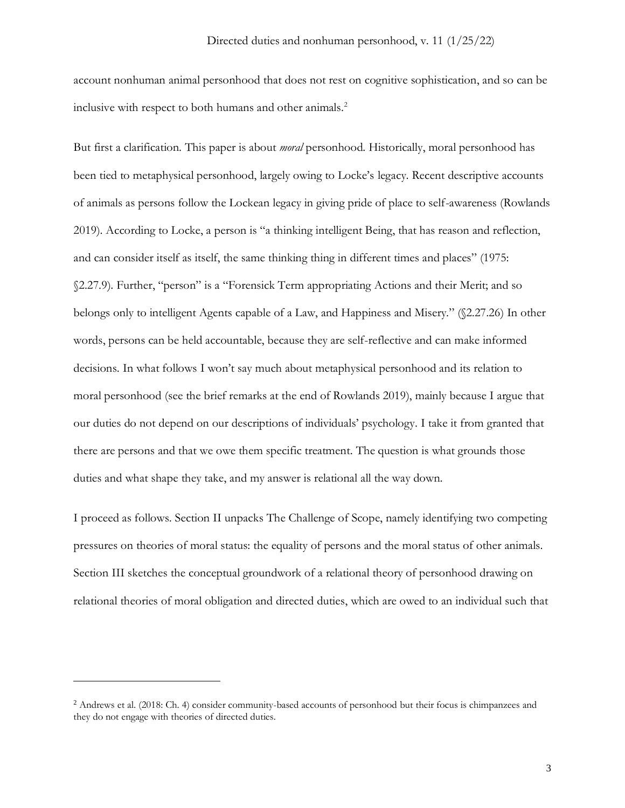account nonhuman animal personhood that does not rest on cognitive sophistication, and so can be inclusive with respect to both humans and other animals.<sup>2</sup>

But first a clarification. This paper is about *moral* personhood. Historically, moral personhood has been tied to metaphysical personhood, largely owing to Locke's legacy. Recent descriptive accounts of animals as persons follow the Lockean legacy in giving pride of place to self-awareness (Rowlands 2019). According to Locke, a person is "a thinking intelligent Being, that has reason and reflection, and can consider itself as itself, the same thinking thing in different times and places" (1975: §2.27.9). Further, "person" is a "Forensick Term appropriating Actions and their Merit; and so belongs only to intelligent Agents capable of a Law, and Happiness and Misery." (§2.27.26) In other words, persons can be held accountable, because they are self-reflective and can make informed decisions. In what follows I won't say much about metaphysical personhood and its relation to moral personhood (see the brief remarks at the end of Rowlands 2019), mainly because I argue that our duties do not depend on our descriptions of individuals' psychology. I take it from granted that there are persons and that we owe them specific treatment. The question is what grounds those duties and what shape they take, and my answer is relational all the way down.

I proceed as follows. Section II unpacks The Challenge of Scope, namely identifying two competing pressures on theories of moral status: the equality of persons and the moral status of other animals. Section III sketches the conceptual groundwork of a relational theory of personhood drawing on relational theories of moral obligation and directed duties, which are owed to an individual such that

<sup>2</sup> Andrews et al. (2018: Ch. 4) consider community-based accounts of personhood but their focus is chimpanzees and they do not engage with theories of directed duties.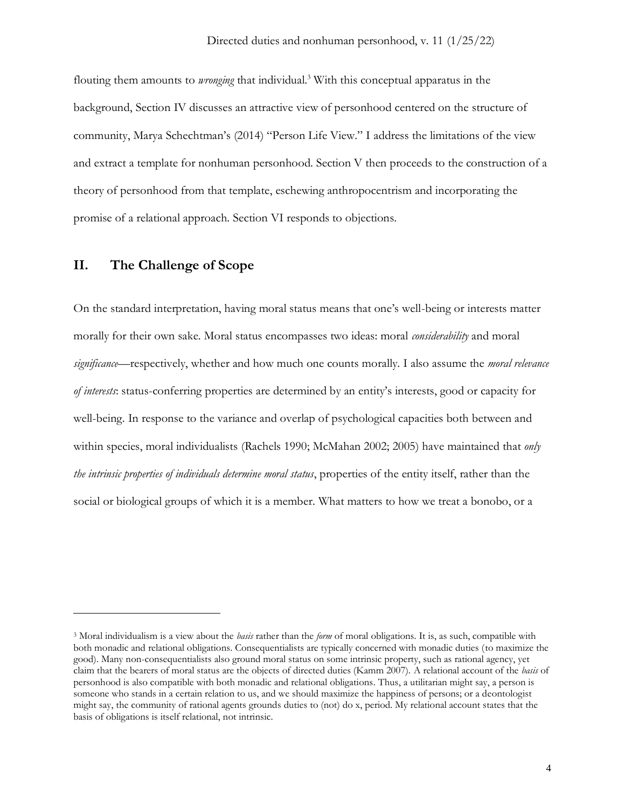flouting them amounts to *wronging* that individual.<sup>3</sup> With this conceptual apparatus in the background, Section IV discusses an attractive view of personhood centered on the structure of community, Marya Schechtman's (2014) "Person Life View." I address the limitations of the view and extract a template for nonhuman personhood. Section V then proceeds to the construction of a theory of personhood from that template, eschewing anthropocentrism and incorporating the promise of a relational approach. Section VI responds to objections.

## **II. The Challenge of Scope**

On the standard interpretation, having moral status means that one's well-being or interests matter morally for their own sake. Moral status encompasses two ideas: moral *considerability* and moral *significance*—respectively, whether and how much one counts morally. I also assume the *moral relevance of interests*: status-conferring properties are determined by an entity's interests, good or capacity for well-being. In response to the variance and overlap of psychological capacities both between and within species, moral individualists (Rachels 1990; McMahan 2002; 2005) have maintained that *only the intrinsic properties of individuals determine moral status*, properties of the entity itself, rather than the social or biological groups of which it is a member. What matters to how we treat a bonobo, or a

<sup>3</sup> Moral individualism is a view about the *basis* rather than the *form* of moral obligations. It is, as such, compatible with both monadic and relational obligations. Consequentialists are typically concerned with monadic duties (to maximize the good). Many non-consequentialists also ground moral status on some intrinsic property, such as rational agency, yet claim that the bearers of moral status are the objects of directed duties (Kamm 2007). A relational account of the *basis* of personhood is also compatible with both monadic and relational obligations. Thus, a utilitarian might say, a person is someone who stands in a certain relation to us, and we should maximize the happiness of persons; or a deontologist might say, the community of rational agents grounds duties to (not) do x, period. My relational account states that the basis of obligations is itself relational, not intrinsic.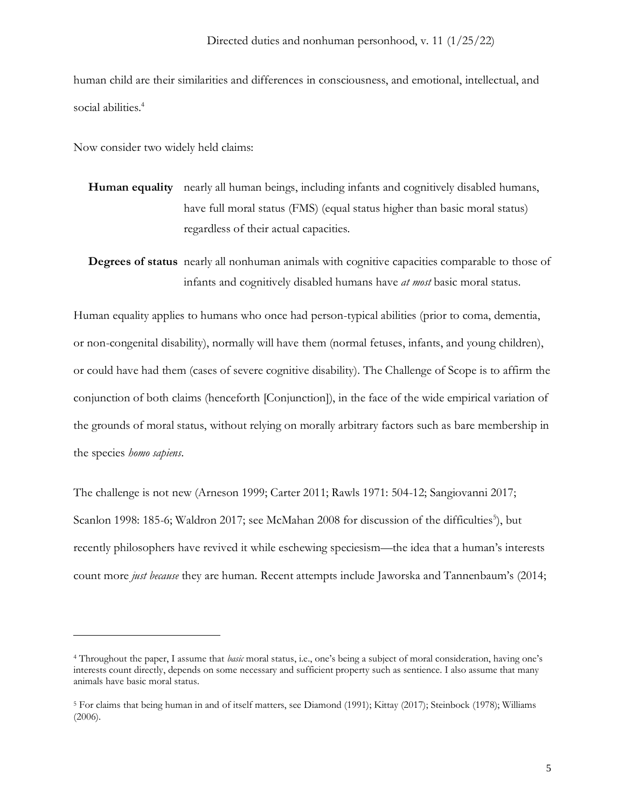human child are their similarities and differences in consciousness, and emotional, intellectual, and social abilities.<sup>4</sup>

Now consider two widely held claims:

- **Human equality** nearly all human beings, including infants and cognitively disabled humans, have full moral status (FMS) (equal status higher than basic moral status) regardless of their actual capacities.
- **Degrees of status** nearly all nonhuman animals with cognitive capacities comparable to those of infants and cognitively disabled humans have *at most* basic moral status.

Human equality applies to humans who once had person-typical abilities (prior to coma, dementia, or non-congenital disability), normally will have them (normal fetuses, infants, and young children), or could have had them (cases of severe cognitive disability). The Challenge of Scope is to affirm the conjunction of both claims (henceforth [Conjunction]), in the face of the wide empirical variation of the grounds of moral status, without relying on morally arbitrary factors such as bare membership in the species *homo sapiens*.

The challenge is not new (Arneson 1999; Carter 2011; Rawls 1971: 504-12; Sangiovanni 2017; Scanlon 1998: 185-6; Waldron 2017; see McMahan 2008 for discussion of the difficulties<sup>5</sup>), but recently philosophers have revived it while eschewing speciesism—the idea that a human's interests count more *just because* they are human. Recent attempts include Jaworska and Tannenbaum's (2014;

<sup>4</sup> Throughout the paper, I assume that *basic* moral status, i.e., one's being a subject of moral consideration, having one's interests count directly, depends on some necessary and sufficient property such as sentience. I also assume that many animals have basic moral status.

<sup>5</sup> For claims that being human in and of itself matters, see Diamond (1991); Kittay (2017); Steinbock (1978); Williams (2006).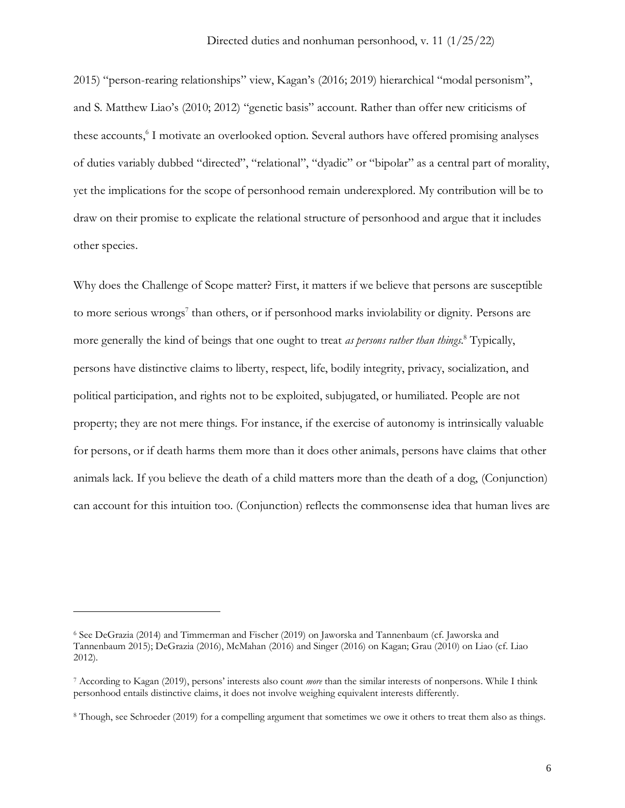2015) "person-rearing relationships" view, Kagan's (2016; 2019) hierarchical "modal personism", and S. Matthew Liao's (2010; 2012) "genetic basis" account. Rather than offer new criticisms of these accounts, 6 I motivate an overlooked option. Several authors have offered promising analyses of duties variably dubbed "directed", "relational", "dyadic" or "bipolar" as a central part of morality, yet the implications for the scope of personhood remain underexplored. My contribution will be to draw on their promise to explicate the relational structure of personhood and argue that it includes other species.

Why does the Challenge of Scope matter? First, it matters if we believe that persons are susceptible to more serious wrongs<sup>7</sup> than others, or if personhood marks inviolability or dignity. Persons are more generally the kind of beings that one ought to treat *as persons rather than things*. <sup>8</sup> Typically, persons have distinctive claims to liberty, respect, life, bodily integrity, privacy, socialization, and political participation, and rights not to be exploited, subjugated, or humiliated. People are not property; they are not mere things. For instance, if the exercise of autonomy is intrinsically valuable for persons, or if death harms them more than it does other animals, persons have claims that other animals lack. If you believe the death of a child matters more than the death of a dog, (Conjunction) can account for this intuition too. (Conjunction) reflects the commonsense idea that human lives are

<sup>6</sup> See DeGrazia (2014) and Timmerman and Fischer (2019) on Jaworska and Tannenbaum (cf. Jaworska and Tannenbaum 2015); DeGrazia (2016), McMahan (2016) and Singer (2016) on Kagan; Grau (2010) on Liao (cf. Liao 2012).

<sup>7</sup> According to Kagan (2019), persons' interests also count *more* than the similar interests of nonpersons. While I think personhood entails distinctive claims, it does not involve weighing equivalent interests differently.

<sup>8</sup> Though, see Schroeder (2019) for a compelling argument that sometimes we owe it others to treat them also as things.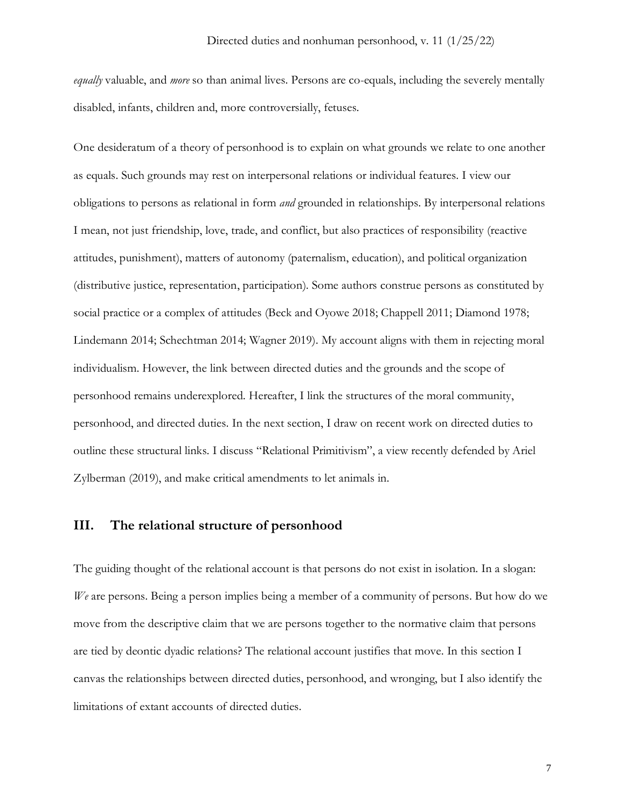*equally* valuable, and *more* so than animal lives. Persons are co-equals, including the severely mentally disabled, infants, children and, more controversially, fetuses.

One desideratum of a theory of personhood is to explain on what grounds we relate to one another as equals. Such grounds may rest on interpersonal relations or individual features. I view our obligations to persons as relational in form *and* grounded in relationships. By interpersonal relations I mean, not just friendship, love, trade, and conflict, but also practices of responsibility (reactive attitudes, punishment), matters of autonomy (paternalism, education), and political organization (distributive justice, representation, participation). Some authors construe persons as constituted by social practice or a complex of attitudes (Beck and Oyowe 2018; Chappell 2011; Diamond 1978; Lindemann 2014; Schechtman 2014; Wagner 2019). My account aligns with them in rejecting moral individualism. However, the link between directed duties and the grounds and the scope of personhood remains underexplored. Hereafter, I link the structures of the moral community, personhood, and directed duties. In the next section, I draw on recent work on directed duties to outline these structural links. I discuss "Relational Primitivism", a view recently defended by Ariel Zylberman (2019), and make critical amendments to let animals in.

### **III. The relational structure of personhood**

The guiding thought of the relational account is that persons do not exist in isolation. In a slogan: *We* are persons. Being a person implies being a member of a community of persons. But how do we move from the descriptive claim that we are persons together to the normative claim that persons are tied by deontic dyadic relations? The relational account justifies that move. In this section I canvas the relationships between directed duties, personhood, and wronging, but I also identify the limitations of extant accounts of directed duties.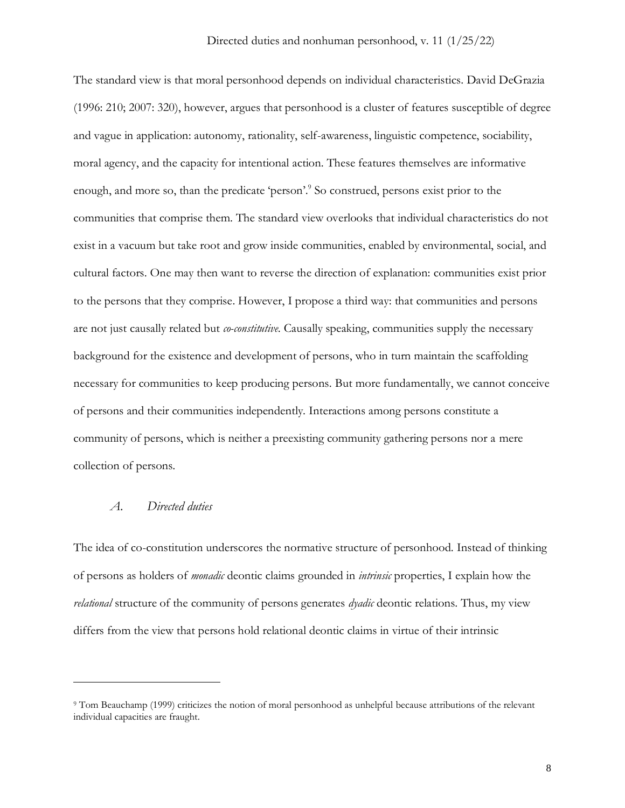The standard view is that moral personhood depends on individual characteristics. David DeGrazia (1996: 210; 2007: 320), however, argues that personhood is a cluster of features susceptible of degree and vague in application: autonomy, rationality, self-awareness, linguistic competence, sociability, moral agency, and the capacity for intentional action. These features themselves are informative enough, and more so, than the predicate 'person'.<sup>9</sup> So construed, persons exist prior to the communities that comprise them. The standard view overlooks that individual characteristics do not exist in a vacuum but take root and grow inside communities, enabled by environmental, social, and cultural factors. One may then want to reverse the direction of explanation: communities exist prior to the persons that they comprise. However, I propose a third way: that communities and persons are not just causally related but *co-constitutive*. Causally speaking, communities supply the necessary background for the existence and development of persons, who in turn maintain the scaffolding necessary for communities to keep producing persons. But more fundamentally, we cannot conceive of persons and their communities independently. Interactions among persons constitute a community of persons, which is neither a preexisting community gathering persons nor a mere collection of persons.

## *A. Directed duties*

The idea of co-constitution underscores the normative structure of personhood. Instead of thinking of persons as holders of *monadic* deontic claims grounded in *intrinsic* properties, I explain how the *relational* structure of the community of persons generates *dyadic* deontic relations. Thus, my view differs from the view that persons hold relational deontic claims in virtue of their intrinsic

<sup>9</sup> Tom Beauchamp (1999) criticizes the notion of moral personhood as unhelpful because attributions of the relevant individual capacities are fraught.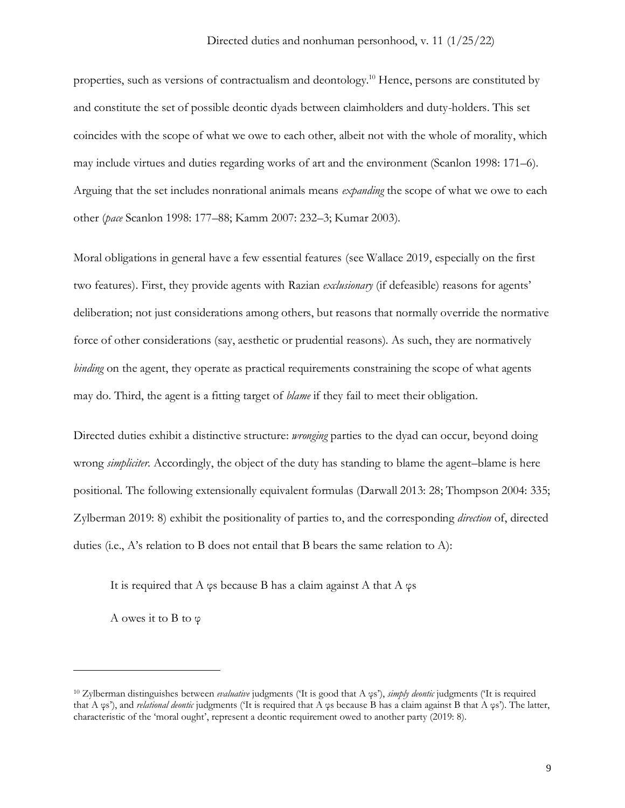properties, such as versions of contractualism and deontology. <sup>10</sup> Hence, persons are constituted by and constitute the set of possible deontic dyads between claimholders and duty-holders. This set coincides with the scope of what we owe to each other, albeit not with the whole of morality, which may include virtues and duties regarding works of art and the environment (Scanlon 1998: 171–6). Arguing that the set includes nonrational animals means *expanding* the scope of what we owe to each other (*pace* Scanlon 1998: 177–88; Kamm 2007: 232–3; Kumar 2003).

Moral obligations in general have a few essential features (see Wallace 2019, especially on the first two features). First, they provide agents with Razian *exclusionary* (if defeasible) reasons for agents' deliberation; not just considerations among others, but reasons that normally override the normative force of other considerations (say, aesthetic or prudential reasons). As such, they are normatively *binding* on the agent, they operate as practical requirements constraining the scope of what agents may do. Third, the agent is a fitting target of *blame* if they fail to meet their obligation.

Directed duties exhibit a distinctive structure: *wronging* parties to the dyad can occur, beyond doing wrong *simpliciter*. Accordingly, the object of the duty has standing to blame the agent–blame is here positional. The following extensionally equivalent formulas (Darwall 2013: 28; Thompson 2004: 335; Zylberman 2019: 8) exhibit the positionality of parties to, and the corresponding *direction* of, directed duties (i.e., A's relation to B does not entail that B bears the same relation to A):

It is required that A  $\varphi$ s because B has a claim against A that A  $\varphi$ s

A owes it to B to φ

<sup>10</sup> Zylberman distinguishes between *evaluative* judgments ('It is good that A φs'), *simply deontic* judgments ('It is required that A φs'), and *relational deontic* judgments ('It is required that A φs because B has a claim against B that A φs'). The latter, characteristic of the 'moral ought', represent a deontic requirement owed to another party (2019: 8).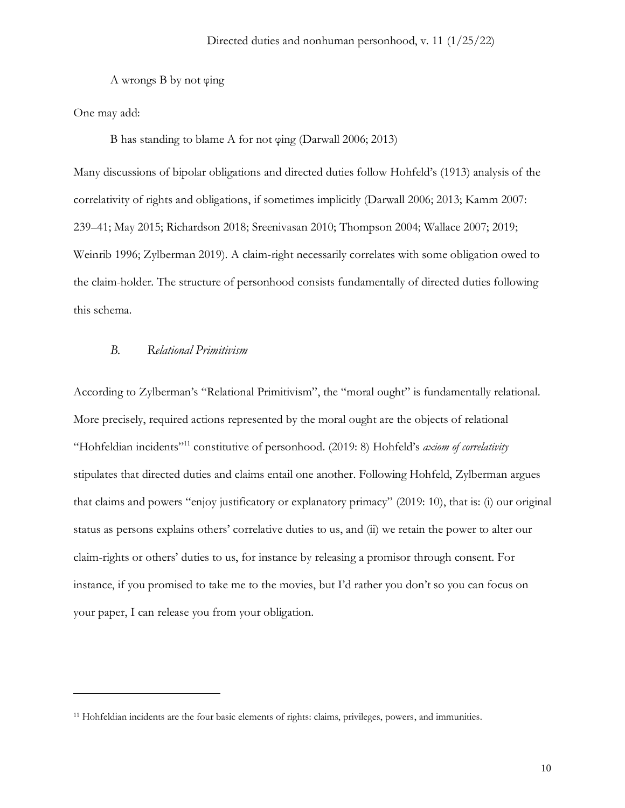A wrongs B by not φing

One may add:

B has standing to blame A for not φing (Darwall 2006; 2013)

Many discussions of bipolar obligations and directed duties follow Hohfeld's (1913) analysis of the correlativity of rights and obligations, if sometimes implicitly (Darwall 2006; 2013; Kamm 2007: 239–41; May 2015; Richardson 2018; Sreenivasan 2010; Thompson 2004; Wallace 2007; 2019; Weinrib 1996; Zylberman 2019). A claim-right necessarily correlates with some obligation owed to the claim-holder. The structure of personhood consists fundamentally of directed duties following this schema.

## *B. Relational Primitivism*

According to Zylberman's "Relational Primitivism", the "moral ought" is fundamentally relational. More precisely, required actions represented by the moral ought are the objects of relational "Hohfeldian incidents" <sup>11</sup> constitutive of personhood. (2019: 8) Hohfeld's *axiom of correlativity* stipulates that directed duties and claims entail one another. Following Hohfeld, Zylberman argues that claims and powers "enjoy justificatory or explanatory primacy" (2019: 10), that is: (i) our original status as persons explains others' correlative duties to us, and (ii) we retain the power to alter our claim-rights or others' duties to us, for instance by releasing a promisor through consent. For instance, if you promised to take me to the movies, but I'd rather you don't so you can focus on your paper, I can release you from your obligation.

<sup>11</sup> Hohfeldian incidents are the four basic elements of rights: claims, privileges, powers, and immunities.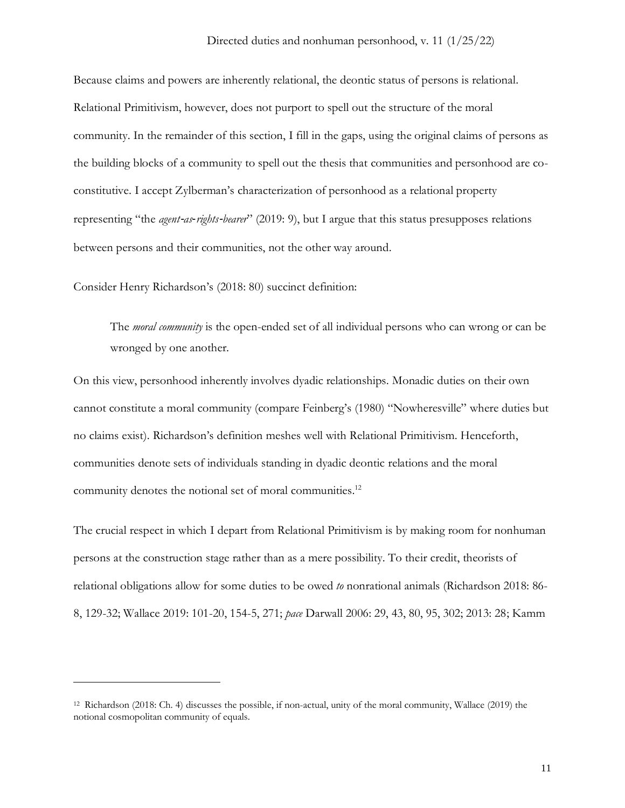Because claims and powers are inherently relational, the deontic status of persons is relational. Relational Primitivism, however, does not purport to spell out the structure of the moral community. In the remainder of this section, I fill in the gaps, using the original claims of persons as the building blocks of a community to spell out the thesis that communities and personhood are coconstitutive. I accept Zylberman's characterization of personhood as a relational property representing "the *agent*‐*as*‐*rights*‐*bearer*" (2019: 9), but I argue that this status presupposes relations between persons and their communities, not the other way around.

Consider Henry Richardson's (2018: 80) succinct definition:

The *moral community* is the open-ended set of all individual persons who can wrong or can be wronged by one another.

On this view, personhood inherently involves dyadic relationships. Monadic duties on their own cannot constitute a moral community (compare Feinberg's (1980) "Nowheresville" where duties but no claims exist). Richardson's definition meshes well with Relational Primitivism. Henceforth, communities denote sets of individuals standing in dyadic deontic relations and the moral community denotes the notional set of moral communities.<sup>12</sup>

The crucial respect in which I depart from Relational Primitivism is by making room for nonhuman persons at the construction stage rather than as a mere possibility. To their credit, theorists of relational obligations allow for some duties to be owed *to* nonrational animals (Richardson 2018: 86- 8, 129-32; Wallace 2019: 101-20, 154-5, 271; *pace* Darwall 2006: 29, 43, 80, 95, 302; 2013: 28; Kamm

<sup>12</sup> Richardson (2018: Ch. 4) discusses the possible, if non-actual, unity of the moral community, Wallace (2019) the notional cosmopolitan community of equals.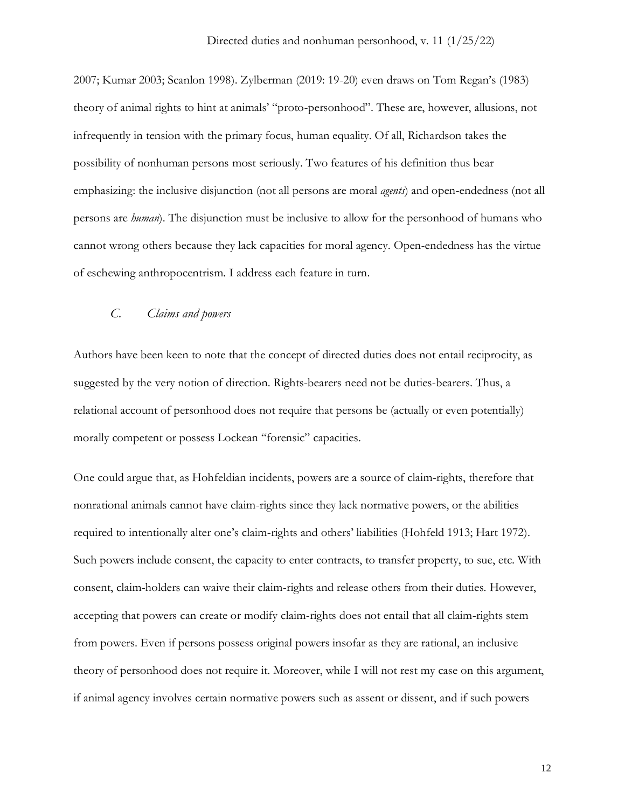2007; Kumar 2003; Scanlon 1998). Zylberman (2019: 19-20) even draws on Tom Regan's (1983) theory of animal rights to hint at animals' "proto-personhood". These are, however, allusions, not infrequently in tension with the primary focus, human equality. Of all, Richardson takes the possibility of nonhuman persons most seriously. Two features of his definition thus bear emphasizing: the inclusive disjunction (not all persons are moral *agents*) and open-endedness (not all persons are *human*). The disjunction must be inclusive to allow for the personhood of humans who cannot wrong others because they lack capacities for moral agency. Open-endedness has the virtue of eschewing anthropocentrism. I address each feature in turn.

### *C. Claims and powers*

Authors have been keen to note that the concept of directed duties does not entail reciprocity, as suggested by the very notion of direction. Rights-bearers need not be duties-bearers. Thus, a relational account of personhood does not require that persons be (actually or even potentially) morally competent or possess Lockean "forensic" capacities.

One could argue that, as Hohfeldian incidents, powers are a source of claim-rights, therefore that nonrational animals cannot have claim-rights since they lack normative powers, or the abilities required to intentionally alter one's claim-rights and others' liabilities (Hohfeld 1913; Hart 1972). Such powers include consent, the capacity to enter contracts, to transfer property, to sue, etc. With consent, claim-holders can waive their claim-rights and release others from their duties. However, accepting that powers can create or modify claim-rights does not entail that all claim-rights stem from powers. Even if persons possess original powers insofar as they are rational, an inclusive theory of personhood does not require it. Moreover, while I will not rest my case on this argument, if animal agency involves certain normative powers such as assent or dissent, and if such powers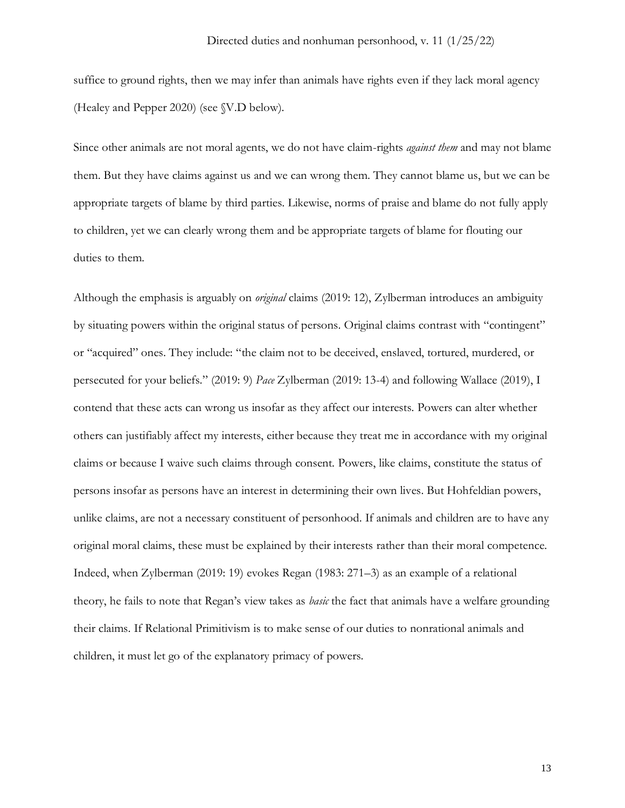suffice to ground rights, then we may infer than animals have rights even if they lack moral agency (Healey and Pepper 2020) (see §V.D below).

Since other animals are not moral agents, we do not have claim-rights *against them* and may not blame them. But they have claims against us and we can wrong them. They cannot blame us, but we can be appropriate targets of blame by third parties. Likewise, norms of praise and blame do not fully apply to children, yet we can clearly wrong them and be appropriate targets of blame for flouting our duties to them.

Although the emphasis is arguably on *original* claims (2019: 12), Zylberman introduces an ambiguity by situating powers within the original status of persons. Original claims contrast with "contingent" or "acquired" ones. They include: "the claim not to be deceived, enslaved, tortured, murdered, or persecuted for your beliefs." (2019: 9) *Pace* Zylberman (2019: 13-4) and following Wallace (2019), I contend that these acts can wrong us insofar as they affect our interests. Powers can alter whether others can justifiably affect my interests, either because they treat me in accordance with my original claims or because I waive such claims through consent. Powers, like claims, constitute the status of persons insofar as persons have an interest in determining their own lives. But Hohfeldian powers, unlike claims, are not a necessary constituent of personhood. If animals and children are to have any original moral claims, these must be explained by their interests rather than their moral competence. Indeed, when Zylberman (2019: 19) evokes Regan (1983: 271–3) as an example of a relational theory, he fails to note that Regan's view takes as *basic* the fact that animals have a welfare grounding their claims. If Relational Primitivism is to make sense of our duties to nonrational animals and children, it must let go of the explanatory primacy of powers.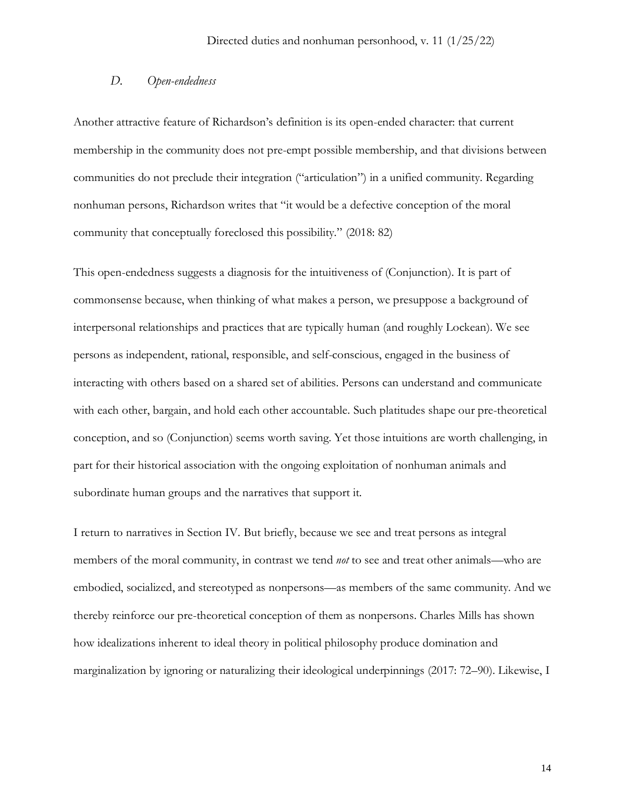## *D. Open-endedness*

Another attractive feature of Richardson's definition is its open-ended character: that current membership in the community does not pre-empt possible membership, and that divisions between communities do not preclude their integration ("articulation") in a unified community. Regarding nonhuman persons, Richardson writes that "it would be a defective conception of the moral community that conceptually foreclosed this possibility." (2018: 82)

This open-endedness suggests a diagnosis for the intuitiveness of (Conjunction). It is part of commonsense because, when thinking of what makes a person, we presuppose a background of interpersonal relationships and practices that are typically human (and roughly Lockean). We see persons as independent, rational, responsible, and self-conscious, engaged in the business of interacting with others based on a shared set of abilities. Persons can understand and communicate with each other, bargain, and hold each other accountable. Such platitudes shape our pre-theoretical conception, and so (Conjunction) seems worth saving. Yet those intuitions are worth challenging, in part for their historical association with the ongoing exploitation of nonhuman animals and subordinate human groups and the narratives that support it.

I return to narratives in Section IV. But briefly, because we see and treat persons as integral members of the moral community, in contrast we tend *not* to see and treat other animals—who are embodied, socialized, and stereotyped as nonpersons—as members of the same community. And we thereby reinforce our pre-theoretical conception of them as nonpersons. Charles Mills has shown how idealizations inherent to ideal theory in political philosophy produce domination and marginalization by ignoring or naturalizing their ideological underpinnings (2017: 72–90). Likewise, I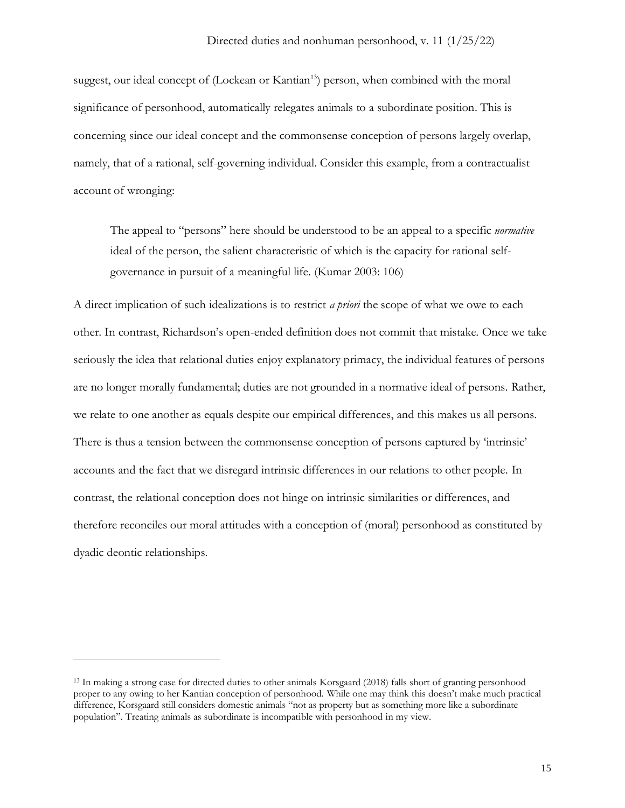suggest, our ideal concept of (Lockean or Kantian<sup>13</sup>) person, when combined with the moral significance of personhood, automatically relegates animals to a subordinate position. This is concerning since our ideal concept and the commonsense conception of persons largely overlap, namely, that of a rational, self-governing individual. Consider this example, from a contractualist account of wronging:

The appeal to "persons" here should be understood to be an appeal to a specific *normative* ideal of the person, the salient characteristic of which is the capacity for rational selfgovernance in pursuit of a meaningful life. (Kumar 2003: 106)

A direct implication of such idealizations is to restrict *a priori* the scope of what we owe to each other. In contrast, Richardson's open-ended definition does not commit that mistake. Once we take seriously the idea that relational duties enjoy explanatory primacy, the individual features of persons are no longer morally fundamental; duties are not grounded in a normative ideal of persons. Rather, we relate to one another as equals despite our empirical differences, and this makes us all persons. There is thus a tension between the commonsense conception of persons captured by 'intrinsic' accounts and the fact that we disregard intrinsic differences in our relations to other people. In contrast, the relational conception does not hinge on intrinsic similarities or differences, and therefore reconciles our moral attitudes with a conception of (moral) personhood as constituted by dyadic deontic relationships.

<sup>13</sup> In making a strong case for directed duties to other animals Korsgaard (2018) falls short of granting personhood proper to any owing to her Kantian conception of personhood. While one may think this doesn't make much practical difference, Korsgaard still considers domestic animals "not as property but as something more like a subordinate population". Treating animals as subordinate is incompatible with personhood in my view.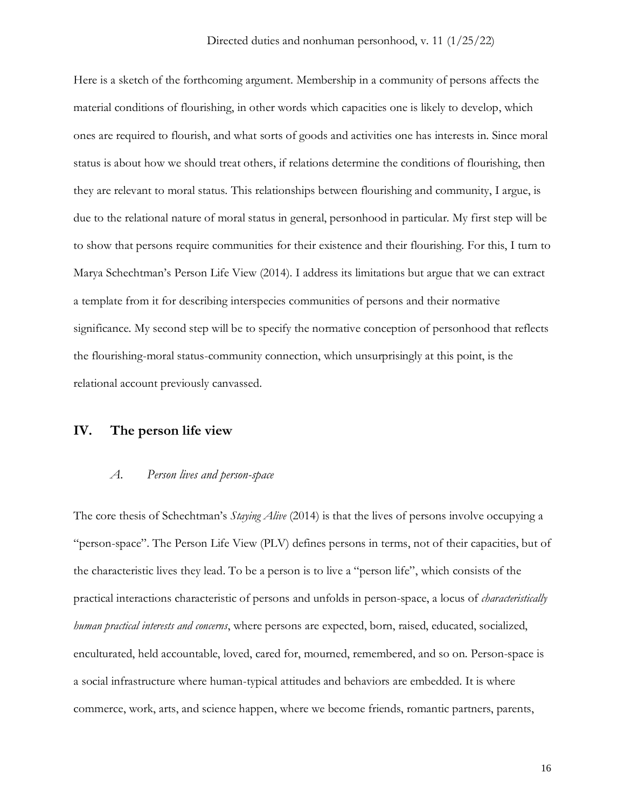Here is a sketch of the forthcoming argument. Membership in a community of persons affects the material conditions of flourishing, in other words which capacities one is likely to develop, which ones are required to flourish, and what sorts of goods and activities one has interests in. Since moral status is about how we should treat others, if relations determine the conditions of flourishing, then they are relevant to moral status. This relationships between flourishing and community, I argue, is due to the relational nature of moral status in general, personhood in particular. My first step will be to show that persons require communities for their existence and their flourishing. For this, I turn to Marya Schechtman's Person Life View (2014). I address its limitations but argue that we can extract a template from it for describing interspecies communities of persons and their normative significance. My second step will be to specify the normative conception of personhood that reflects the flourishing-moral status-community connection, which unsurprisingly at this point, is the relational account previously canvassed.

## **IV. The person life view**

#### *A. Person lives and person-space*

The core thesis of Schechtman's *Staying Alive* (2014) is that the lives of persons involve occupying a "person-space". The Person Life View (PLV) defines persons in terms, not of their capacities, but of the characteristic lives they lead. To be a person is to live a "person life", which consists of the practical interactions characteristic of persons and unfolds in person-space, a locus of *characteristically human practical interests and concerns*, where persons are expected, born, raised, educated, socialized, enculturated, held accountable, loved, cared for, mourned, remembered, and so on. Person-space is a social infrastructure where human-typical attitudes and behaviors are embedded. It is where commerce, work, arts, and science happen, where we become friends, romantic partners, parents,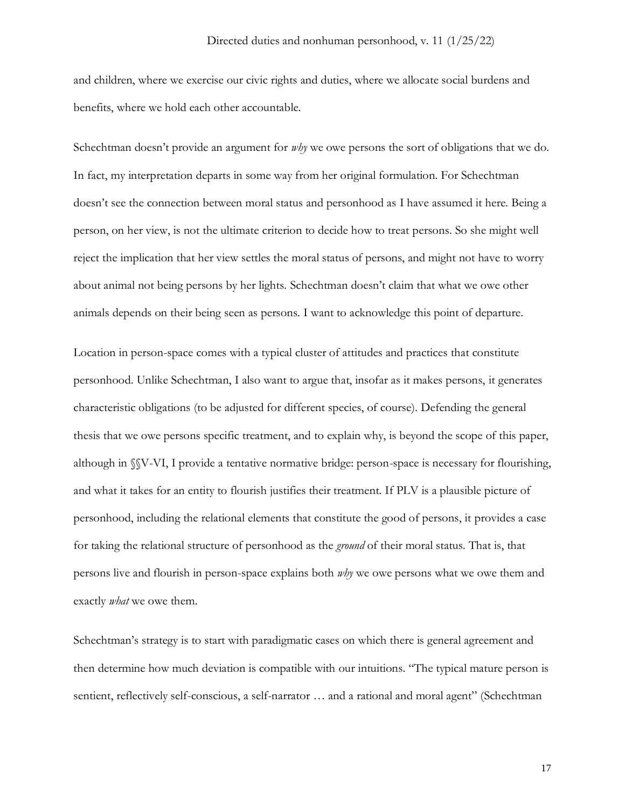and children, where we exercise our civic rights and duties, where we allocate social burdens and benefits, where we hold each other accountable.

Schechtman doesn't provide an argument for *why* we owe persons the sort of obligations that we do. In fact, my interpretation departs in some way from her original formulation. For Schechtman doesn't see the connection between moral status and personhood as I have assumed it here. Being a person, on her view, is not the ultimate criterion to decide how to treat persons. So she might well reject the implication that her view settles the moral status of persons, and might not have to worry about animal not being persons by her lights. Schechtman doesn't claim that what we owe other animals depends on their being seen as persons. I want to acknowledge this point of departure.

Location in person-space comes with a typical cluster of attitudes and practices that constitute personhood. Unlike Schechtman, I also want to argue that, insofar as it makes persons, it generates characteristic obligations (to be adjusted for different species, of course). Defending the general thesis that we owe persons specific treatment, and to explain why, is beyond the scope of this paper, although in §§V-VI, I provide a tentative normative bridge: person-space is necessary for flourishing, and what it takes for an entity to flourish justifies their treatment. If PLV is a plausible picture of personhood, including the relational elements that constitute the good of persons, it provides a case for taking the relational structure of personhood as the *ground* of their moral status. That is, that persons live and flourish in person-space explains both *why* we owe persons what we owe them and exactly *what* we owe them.

Schechtman's strategy is to start with paradigmatic cases on which there is general agreement and then determine how much deviation is compatible with our intuitions. "The typical mature person is sentient, reflectively self-conscious, a self-narrator ... and a rational and moral agent" (Schechtman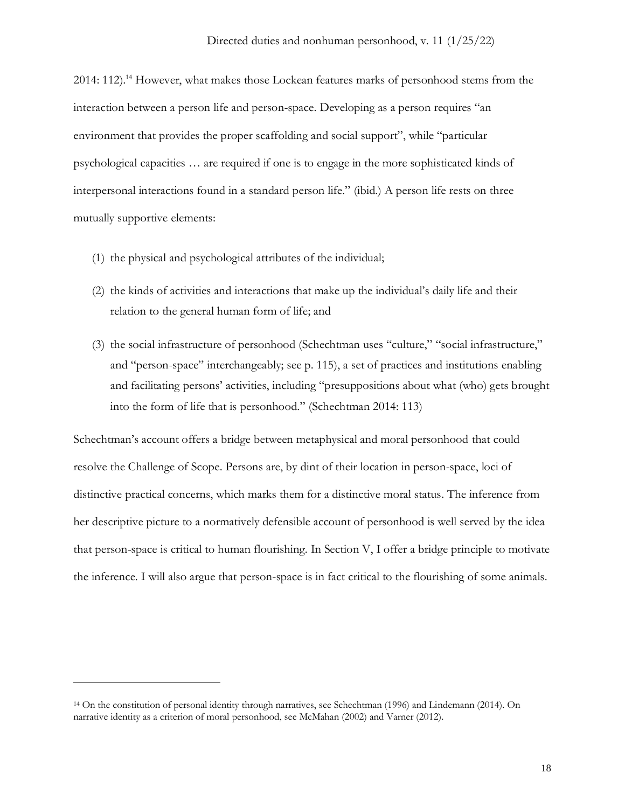2014: 112).<sup>14</sup> However, what makes those Lockean features marks of personhood stems from the interaction between a person life and person-space. Developing as a person requires "an environment that provides the proper scaffolding and social support", while "particular psychological capacities … are required if one is to engage in the more sophisticated kinds of interpersonal interactions found in a standard person life." (ibid.) A person life rests on three mutually supportive elements:

- (1) the physical and psychological attributes of the individual;
- (2) the kinds of activities and interactions that make up the individual's daily life and their relation to the general human form of life; and
- (3) the social infrastructure of personhood (Schechtman uses "culture," "social infrastructure," and "person-space" interchangeably; see p. 115), a set of practices and institutions enabling and facilitating persons' activities, including "presuppositions about what (who) gets brought into the form of life that is personhood." (Schechtman 2014: 113)

Schechtman's account offers a bridge between metaphysical and moral personhood that could resolve the Challenge of Scope. Persons are, by dint of their location in person-space, loci of distinctive practical concerns, which marks them for a distinctive moral status. The inference from her descriptive picture to a normatively defensible account of personhood is well served by the idea that person-space is critical to human flourishing. In Section V, I offer a bridge principle to motivate the inference. I will also argue that person-space is in fact critical to the flourishing of some animals.

<sup>14</sup> On the constitution of personal identity through narratives, see Schechtman (1996) and Lindemann (2014). On narrative identity as a criterion of moral personhood, see McMahan (2002) and Varner (2012).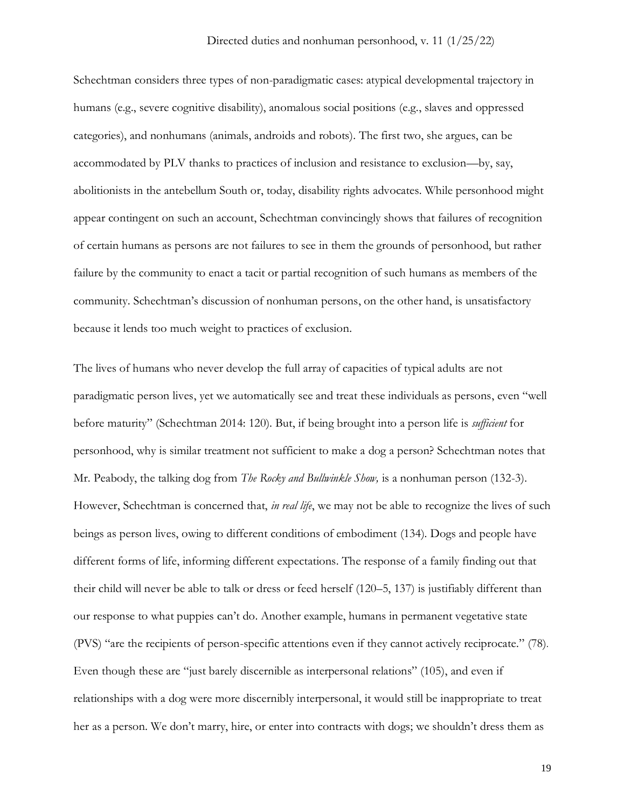Schechtman considers three types of non-paradigmatic cases: atypical developmental trajectory in humans (e.g., severe cognitive disability), anomalous social positions (e.g., slaves and oppressed categories), and nonhumans (animals, androids and robots). The first two, she argues, can be accommodated by PLV thanks to practices of inclusion and resistance to exclusion—by, say, abolitionists in the antebellum South or, today, disability rights advocates. While personhood might appear contingent on such an account, Schechtman convincingly shows that failures of recognition of certain humans as persons are not failures to see in them the grounds of personhood, but rather failure by the community to enact a tacit or partial recognition of such humans as members of the community. Schechtman's discussion of nonhuman persons, on the other hand, is unsatisfactory because it lends too much weight to practices of exclusion.

The lives of humans who never develop the full array of capacities of typical adults are not paradigmatic person lives, yet we automatically see and treat these individuals as persons, even "well before maturity" (Schechtman 2014: 120). But, if being brought into a person life is *sufficient* for personhood, why is similar treatment not sufficient to make a dog a person? Schechtman notes that Mr. Peabody, the talking dog from *The Rocky and Bullwinkle Show,* is a nonhuman person (132-3). However, Schechtman is concerned that, *in real life*, we may not be able to recognize the lives of such beings as person lives, owing to different conditions of embodiment (134). Dogs and people have different forms of life, informing different expectations. The response of a family finding out that their child will never be able to talk or dress or feed herself (120–5, 137) is justifiably different than our response to what puppies can't do. Another example, humans in permanent vegetative state (PVS) "are the recipients of person-specific attentions even if they cannot actively reciprocate." (78). Even though these are "just barely discernible as interpersonal relations" (105), and even if relationships with a dog were more discernibly interpersonal, it would still be inappropriate to treat her as a person. We don't marry, hire, or enter into contracts with dogs; we shouldn't dress them as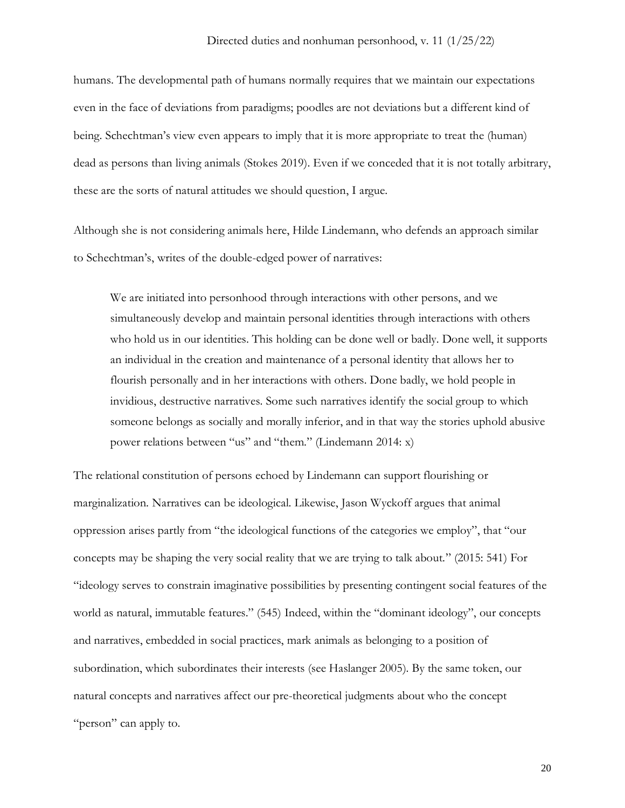humans. The developmental path of humans normally requires that we maintain our expectations even in the face of deviations from paradigms; poodles are not deviations but a different kind of being. Schechtman's view even appears to imply that it is more appropriate to treat the (human) dead as persons than living animals (Stokes 2019). Even if we conceded that it is not totally arbitrary, these are the sorts of natural attitudes we should question, I argue.

Although she is not considering animals here, Hilde Lindemann, who defends an approach similar to Schechtman's, writes of the double-edged power of narratives:

We are initiated into personhood through interactions with other persons, and we simultaneously develop and maintain personal identities through interactions with others who hold us in our identities. This holding can be done well or badly. Done well, it supports an individual in the creation and maintenance of a personal identity that allows her to flourish personally and in her interactions with others. Done badly, we hold people in invidious, destructive narratives. Some such narratives identify the social group to which someone belongs as socially and morally inferior, and in that way the stories uphold abusive power relations between "us" and "them." (Lindemann 2014: x)

The relational constitution of persons echoed by Lindemann can support flourishing or marginalization. Narratives can be ideological. Likewise, Jason Wyckoff argues that animal oppression arises partly from "the ideological functions of the categories we employ", that "our concepts may be shaping the very social reality that we are trying to talk about." (2015: 541) For "ideology serves to constrain imaginative possibilities by presenting contingent social features of the world as natural, immutable features." (545) Indeed, within the "dominant ideology", our concepts and narratives, embedded in social practices, mark animals as belonging to a position of subordination, which subordinates their interests (see Haslanger 2005). By the same token, our natural concepts and narratives affect our pre-theoretical judgments about who the concept "person" can apply to.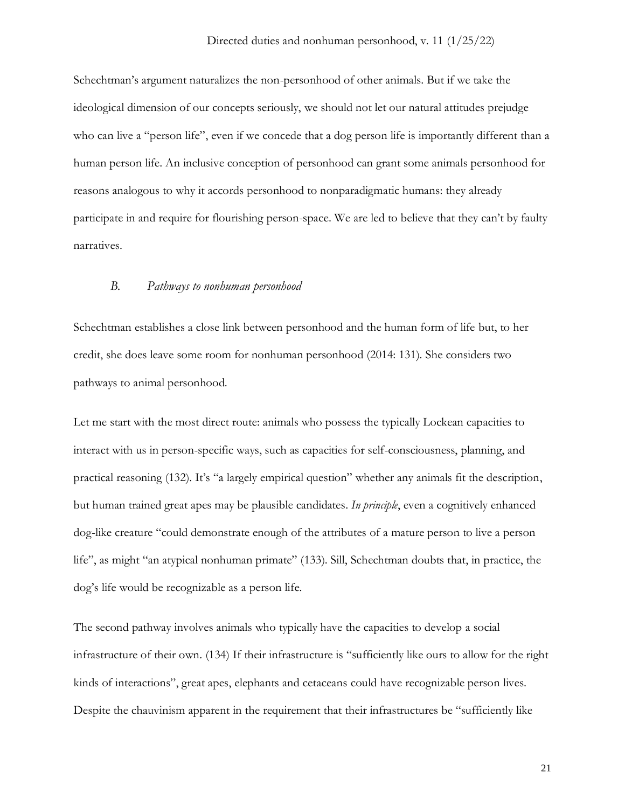Schechtman's argument naturalizes the non-personhood of other animals. But if we take the ideological dimension of our concepts seriously, we should not let our natural attitudes prejudge who can live a "person life", even if we concede that a dog person life is importantly different than a human person life. An inclusive conception of personhood can grant some animals personhood for reasons analogous to why it accords personhood to nonparadigmatic humans: they already participate in and require for flourishing person-space. We are led to believe that they can't by faulty narratives.

### *B. Pathways to nonhuman personhood*

Schechtman establishes a close link between personhood and the human form of life but, to her credit, she does leave some room for nonhuman personhood (2014: 131). She considers two pathways to animal personhood.

Let me start with the most direct route: animals who possess the typically Lockean capacities to interact with us in person-specific ways, such as capacities for self-consciousness, planning, and practical reasoning (132). It's "a largely empirical question" whether any animals fit the description, but human trained great apes may be plausible candidates. *In principle*, even a cognitively enhanced dog-like creature "could demonstrate enough of the attributes of a mature person to live a person life", as might "an atypical nonhuman primate" (133). Sill, Schechtman doubts that, in practice, the dog's life would be recognizable as a person life.

The second pathway involves animals who typically have the capacities to develop a social infrastructure of their own. (134) If their infrastructure is "sufficiently like ours to allow for the right kinds of interactions", great apes, elephants and cetaceans could have recognizable person lives. Despite the chauvinism apparent in the requirement that their infrastructures be "sufficiently like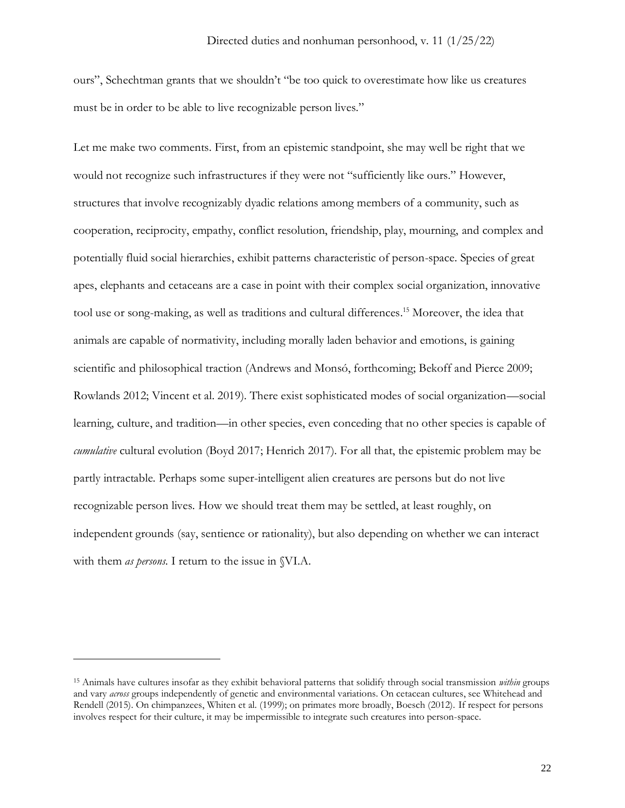ours", Schechtman grants that we shouldn't "be too quick to overestimate how like us creatures must be in order to be able to live recognizable person lives."

Let me make two comments. First, from an epistemic standpoint, she may well be right that we would not recognize such infrastructures if they were not "sufficiently like ours." However, structures that involve recognizably dyadic relations among members of a community, such as cooperation, reciprocity, empathy, conflict resolution, friendship, play, mourning, and complex and potentially fluid social hierarchies, exhibit patterns characteristic of person-space. Species of great apes, elephants and cetaceans are a case in point with their complex social organization, innovative tool use or song-making, as well as traditions and cultural differences. <sup>15</sup> Moreover, the idea that animals are capable of normativity, including morally laden behavior and emotions, is gaining scientific and philosophical traction (Andrews and Monsó, forthcoming; Bekoff and Pierce 2009; Rowlands 2012; Vincent et al. 2019). There exist sophisticated modes of social organization—social learning, culture, and tradition—in other species, even conceding that no other species is capable of *cumulative* cultural evolution (Boyd 2017; Henrich 2017). For all that, the epistemic problem may be partly intractable. Perhaps some super-intelligent alien creatures are persons but do not live recognizable person lives. How we should treat them may be settled, at least roughly, on independent grounds (say, sentience or rationality), but also depending on whether we can interact with them *as persons*. I return to the issue in §VI.A.

<sup>15</sup> Animals have cultures insofar as they exhibit behavioral patterns that solidify through social transmission *within* groups and vary *across* groups independently of genetic and environmental variations. On cetacean cultures, see Whitehead and Rendell (2015). On chimpanzees, Whiten et al. (1999); on primates more broadly, Boesch (2012). If respect for persons involves respect for their culture, it may be impermissible to integrate such creatures into person-space.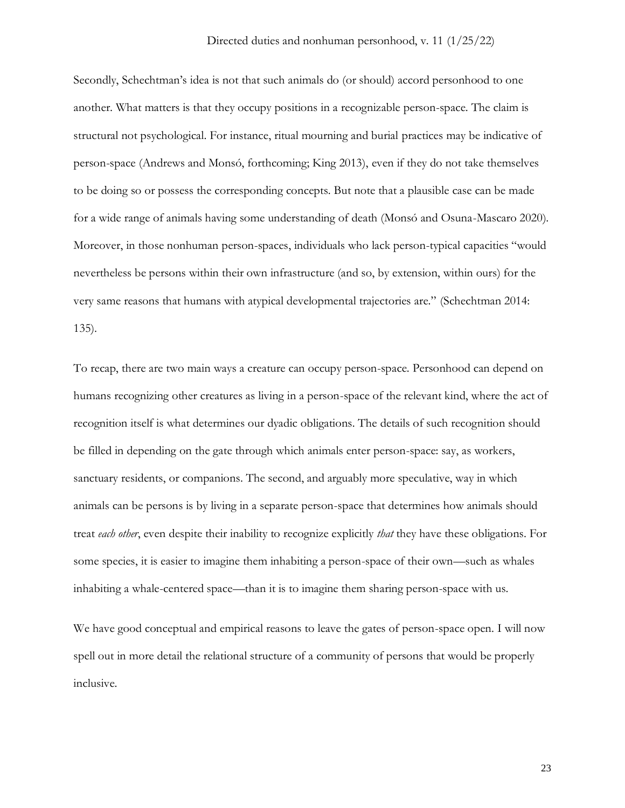Secondly, Schechtman's idea is not that such animals do (or should) accord personhood to one another. What matters is that they occupy positions in a recognizable person-space. The claim is structural not psychological. For instance, ritual mourning and burial practices may be indicative of person-space (Andrews and Monsó, forthcoming; King 2013), even if they do not take themselves to be doing so or possess the corresponding concepts. But note that a plausible case can be made for a wide range of animals having some understanding of death (Monsó and Osuna-Mascaro 2020). Moreover, in those nonhuman person-spaces, individuals who lack person-typical capacities "would nevertheless be persons within their own infrastructure (and so, by extension, within ours) for the very same reasons that humans with atypical developmental trajectories are." (Schechtman 2014: 135).

To recap, there are two main ways a creature can occupy person-space. Personhood can depend on humans recognizing other creatures as living in a person-space of the relevant kind, where the act of recognition itself is what determines our dyadic obligations. The details of such recognition should be filled in depending on the gate through which animals enter person-space: say, as workers, sanctuary residents, or companions. The second, and arguably more speculative, way in which animals can be persons is by living in a separate person-space that determines how animals should treat *each other*, even despite their inability to recognize explicitly *that* they have these obligations. For some species, it is easier to imagine them inhabiting a person-space of their own—such as whales inhabiting a whale-centered space—than it is to imagine them sharing person-space with us.

We have good conceptual and empirical reasons to leave the gates of person-space open. I will now spell out in more detail the relational structure of a community of persons that would be properly inclusive.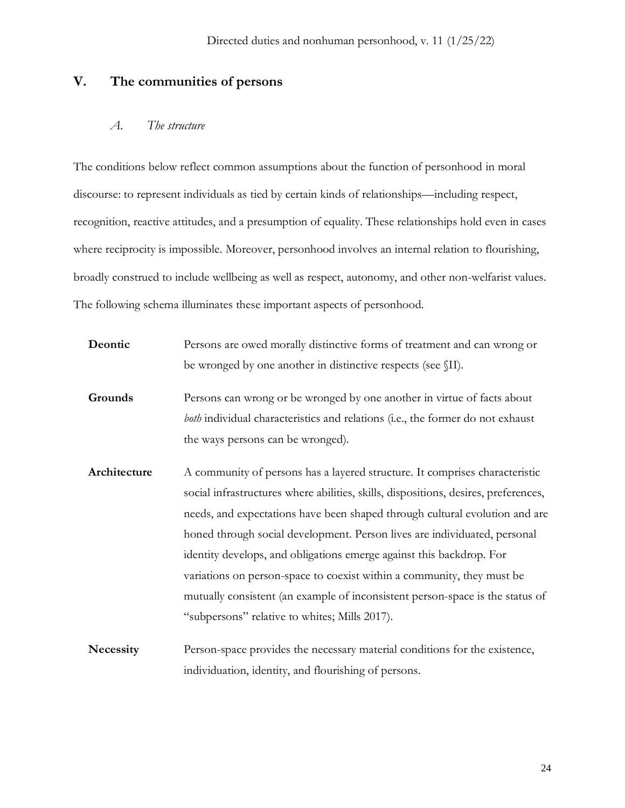# **V. The communities of persons**

## *A. The structure*

The conditions below reflect common assumptions about the function of personhood in moral discourse: to represent individuals as tied by certain kinds of relationships—including respect, recognition, reactive attitudes, and a presumption of equality. These relationships hold even in cases where reciprocity is impossible. Moreover, personhood involves an internal relation to flourishing, broadly construed to include wellbeing as well as respect, autonomy, and other non-welfarist values. The following schema illuminates these important aspects of personhood.

| Deontic          | Persons are owed morally distinctive forms of treatment and can wrong or            |
|------------------|-------------------------------------------------------------------------------------|
|                  | be wronged by one another in distinctive respects (see \[II].                       |
| Grounds          | Persons can wrong or be wronged by one another in virtue of facts about             |
|                  | both individual characteristics and relations (i.e., the former do not exhaust      |
|                  | the ways persons can be wronged).                                                   |
| Architecture     | A community of persons has a layered structure. It comprises characteristic         |
|                  | social infrastructures where abilities, skills, dispositions, desires, preferences, |
|                  | needs, and expectations have been shaped through cultural evolution and are         |
|                  | honed through social development. Person lives are individuated, personal           |
|                  | identity develops, and obligations emerge against this backdrop. For                |
|                  | variations on person-space to coexist within a community, they must be              |
|                  | mutually consistent (an example of inconsistent person-space is the status of       |
|                  | "subpersons" relative to whites; Mills 2017).                                       |
| <b>Necessity</b> | Person-space provides the necessary material conditions for the existence,          |

individuation, identity, and flourishing of persons.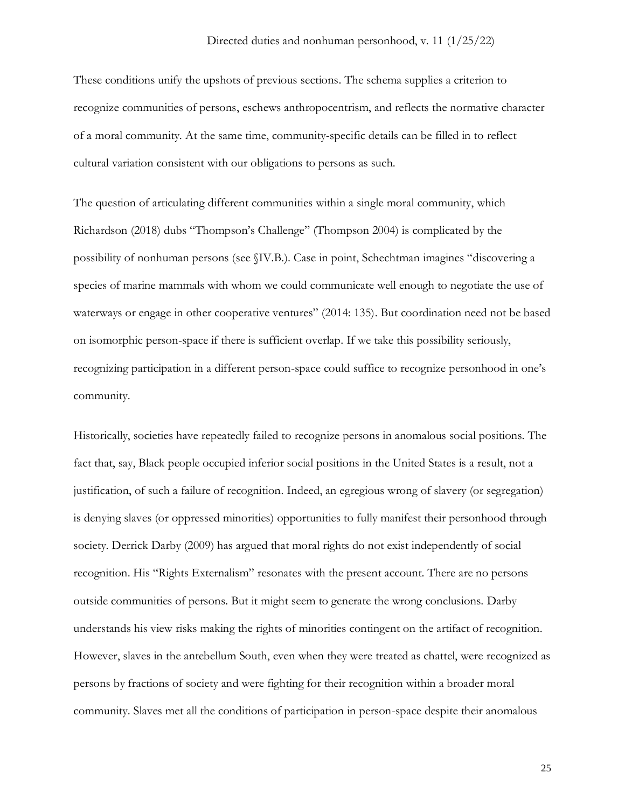These conditions unify the upshots of previous sections. The schema supplies a criterion to recognize communities of persons, eschews anthropocentrism, and reflects the normative character of a moral community. At the same time, community-specific details can be filled in to reflect cultural variation consistent with our obligations to persons as such.

The question of articulating different communities within a single moral community, which Richardson (2018) dubs "Thompson's Challenge" (Thompson 2004) is complicated by the possibility of nonhuman persons (see §IV.B.). Case in point, Schechtman imagines "discovering a species of marine mammals with whom we could communicate well enough to negotiate the use of waterways or engage in other cooperative ventures" (2014: 135). But coordination need not be based on isomorphic person-space if there is sufficient overlap. If we take this possibility seriously, recognizing participation in a different person-space could suffice to recognize personhood in one's community.

Historically, societies have repeatedly failed to recognize persons in anomalous social positions. The fact that, say, Black people occupied inferior social positions in the United States is a result, not a justification, of such a failure of recognition. Indeed, an egregious wrong of slavery (or segregation) is denying slaves (or oppressed minorities) opportunities to fully manifest their personhood through society. Derrick Darby (2009) has argued that moral rights do not exist independently of social recognition. His "Rights Externalism" resonates with the present account. There are no persons outside communities of persons. But it might seem to generate the wrong conclusions. Darby understands his view risks making the rights of minorities contingent on the artifact of recognition. However, slaves in the antebellum South, even when they were treated as chattel, were recognized as persons by fractions of society and were fighting for their recognition within a broader moral community. Slaves met all the conditions of participation in person-space despite their anomalous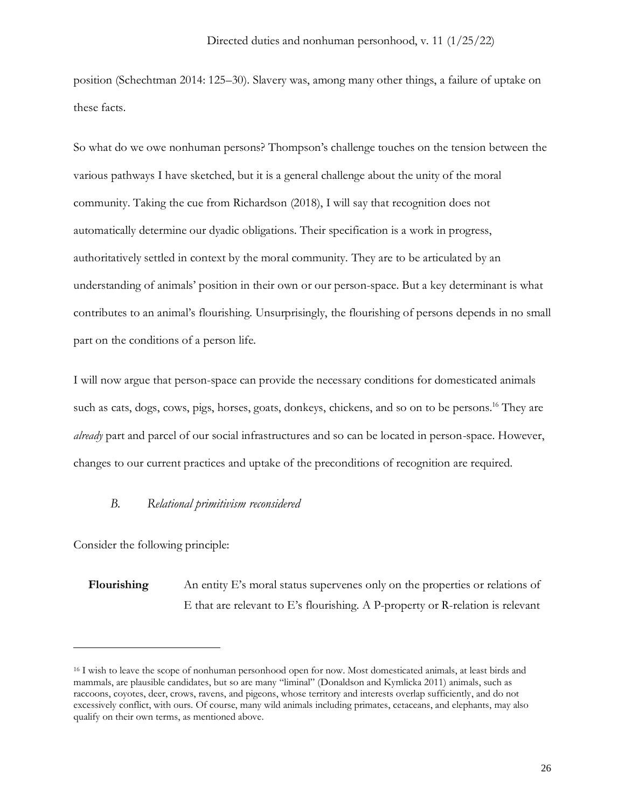position (Schechtman 2014: 125–30). Slavery was, among many other things, a failure of uptake on these facts.

So what do we owe nonhuman persons? Thompson's challenge touches on the tension between the various pathways I have sketched, but it is a general challenge about the unity of the moral community. Taking the cue from Richardson (2018), I will say that recognition does not automatically determine our dyadic obligations. Their specification is a work in progress, authoritatively settled in context by the moral community. They are to be articulated by an understanding of animals' position in their own or our person-space. But a key determinant is what contributes to an animal's flourishing. Unsurprisingly, the flourishing of persons depends in no small part on the conditions of a person life.

I will now argue that person-space can provide the necessary conditions for domesticated animals such as cats, dogs, cows, pigs, horses, goats, donkeys, chickens, and so on to be persons. <sup>16</sup> They are *already* part and parcel of our social infrastructures and so can be located in person-space. However, changes to our current practices and uptake of the preconditions of recognition are required.

### *B. Relational primitivism reconsidered*

Consider the following principle:

**Flourishing** An entity E's moral status supervenes only on the properties or relations of E that are relevant to E's flourishing. A P-property or R-relation is relevant

<sup>16</sup> I wish to leave the scope of nonhuman personhood open for now. Most domesticated animals, at least birds and mammals, are plausible candidates, but so are many "liminal" (Donaldson and Kymlicka 2011) animals, such as raccoons, coyotes, deer, crows, ravens, and pigeons, whose territory and interests overlap sufficiently, and do not excessively conflict, with ours. Of course, many wild animals including primates, cetaceans, and elephants, may also qualify on their own terms, as mentioned above.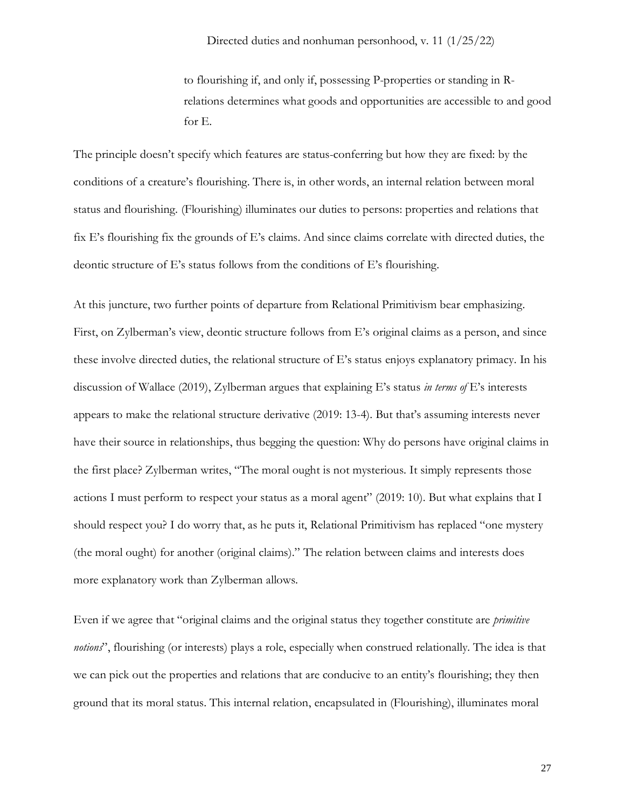to flourishing if, and only if, possessing P-properties or standing in Rrelations determines what goods and opportunities are accessible to and good for E.

The principle doesn't specify which features are status-conferring but how they are fixed: by the conditions of a creature's flourishing. There is, in other words, an internal relation between moral status and flourishing. (Flourishing) illuminates our duties to persons: properties and relations that fix E's flourishing fix the grounds of E's claims. And since claims correlate with directed duties, the deontic structure of E's status follows from the conditions of E's flourishing.

At this juncture, two further points of departure from Relational Primitivism bear emphasizing. First, on Zylberman's view, deontic structure follows from E's original claims as a person, and since these involve directed duties, the relational structure of E's status enjoys explanatory primacy. In his discussion of Wallace (2019), Zylberman argues that explaining E's status *in terms of* E's interests appears to make the relational structure derivative (2019: 13-4). But that's assuming interests never have their source in relationships, thus begging the question: Why do persons have original claims in the first place? Zylberman writes, "The moral ought is not mysterious. It simply represents those actions I must perform to respect your status as a moral agent" (2019: 10). But what explains that I should respect you? I do worry that, as he puts it, Relational Primitivism has replaced "one mystery (the moral ought) for another (original claims)." The relation between claims and interests does more explanatory work than Zylberman allows.

Even if we agree that "original claims and the original status they together constitute are *primitive notions*", flourishing (or interests) plays a role, especially when construed relationally. The idea is that we can pick out the properties and relations that are conducive to an entity's flourishing; they then ground that its moral status. This internal relation, encapsulated in (Flourishing), illuminates moral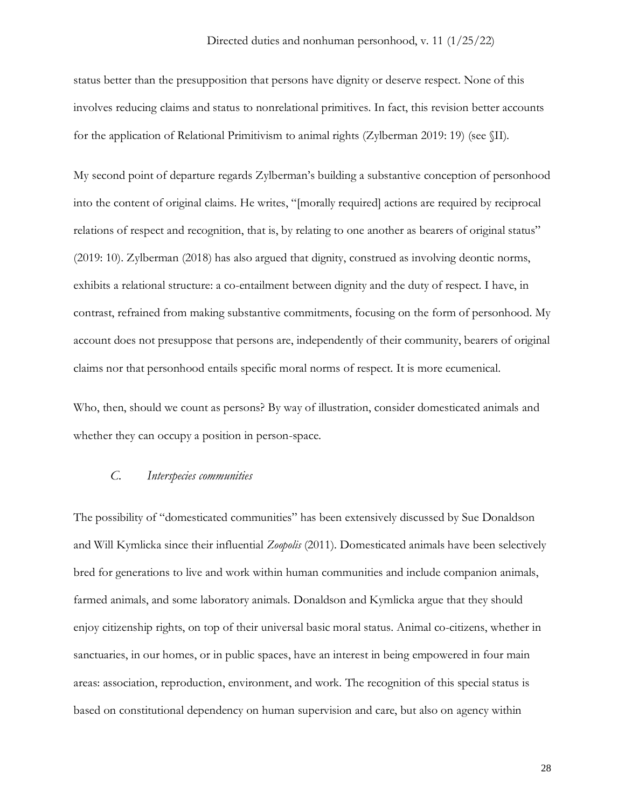status better than the presupposition that persons have dignity or deserve respect. None of this involves reducing claims and status to nonrelational primitives. In fact, this revision better accounts for the application of Relational Primitivism to animal rights (Zylberman 2019: 19) (see §II).

My second point of departure regards Zylberman's building a substantive conception of personhood into the content of original claims. He writes, "[morally required] actions are required by reciprocal relations of respect and recognition, that is, by relating to one another as bearers of original status" (2019: 10). Zylberman (2018) has also argued that dignity, construed as involving deontic norms, exhibits a relational structure: a co-entailment between dignity and the duty of respect. I have, in contrast, refrained from making substantive commitments, focusing on the form of personhood. My account does not presuppose that persons are, independently of their community, bearers of original claims nor that personhood entails specific moral norms of respect. It is more ecumenical.

Who, then, should we count as persons? By way of illustration, consider domesticated animals and whether they can occupy a position in person-space.

### *C. Interspecies communities*

The possibility of "domesticated communities" has been extensively discussed by Sue Donaldson and Will Kymlicka since their influential *Zoopolis* (2011). Domesticated animals have been selectively bred for generations to live and work within human communities and include companion animals, farmed animals, and some laboratory animals. Donaldson and Kymlicka argue that they should enjoy citizenship rights, on top of their universal basic moral status. Animal co-citizens, whether in sanctuaries, in our homes, or in public spaces, have an interest in being empowered in four main areas: association, reproduction, environment, and work. The recognition of this special status is based on constitutional dependency on human supervision and care, but also on agency within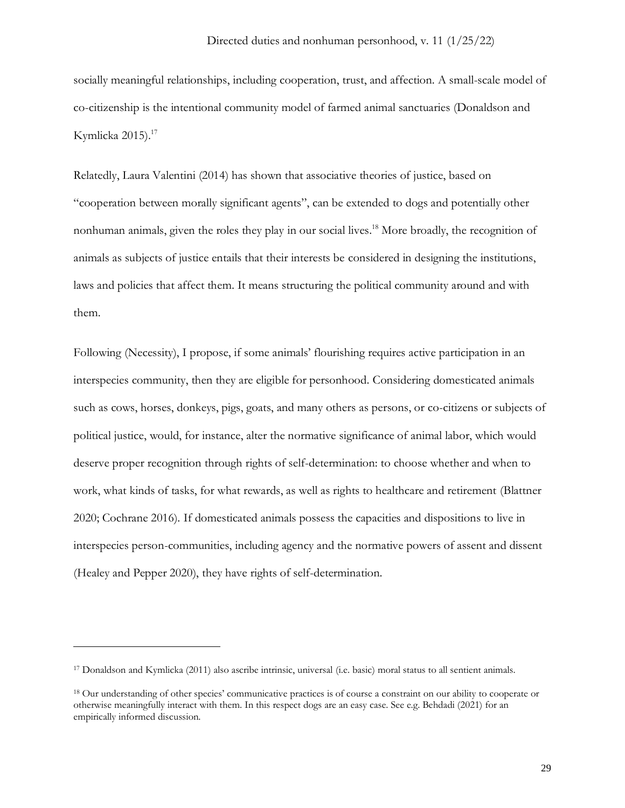socially meaningful relationships, including cooperation, trust, and affection. A small-scale model of co-citizenship is the intentional community model of farmed animal sanctuaries (Donaldson and Kymlicka 2015). 17

Relatedly, Laura Valentini (2014) has shown that associative theories of justice, based on "cooperation between morally significant agents", can be extended to dogs and potentially other nonhuman animals, given the roles they play in our social lives. <sup>18</sup> More broadly, the recognition of animals as subjects of justice entails that their interests be considered in designing the institutions, laws and policies that affect them. It means structuring the political community around and with them.

Following (Necessity), I propose, if some animals' flourishing requires active participation in an interspecies community, then they are eligible for personhood. Considering domesticated animals such as cows, horses, donkeys, pigs, goats, and many others as persons, or co-citizens or subjects of political justice, would, for instance, alter the normative significance of animal labor, which would deserve proper recognition through rights of self-determination: to choose whether and when to work, what kinds of tasks, for what rewards, as well as rights to healthcare and retirement (Blattner 2020; Cochrane 2016). If domesticated animals possess the capacities and dispositions to live in interspecies person-communities, including agency and the normative powers of assent and dissent (Healey and Pepper 2020), they have rights of self-determination.

<sup>17</sup> Donaldson and Kymlicka (2011) also ascribe intrinsic, universal (i.e. basic) moral status to all sentient animals.

<sup>18</sup> Our understanding of other species' communicative practices is of course a constraint on our ability to cooperate or otherwise meaningfully interact with them. In this respect dogs are an easy case. See e.g. Behdadi (2021) for an empirically informed discussion.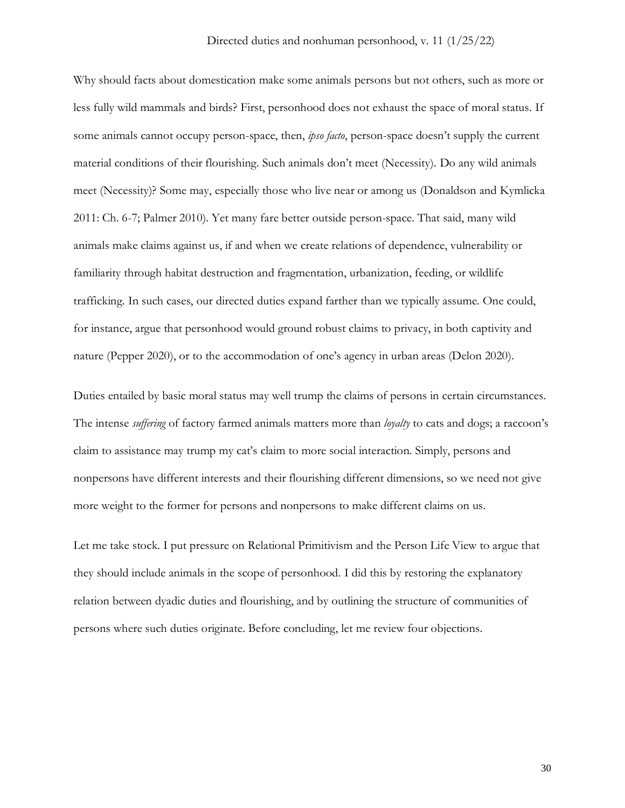Why should facts about domestication make some animals persons but not others, such as more or less fully wild mammals and birds? First, personhood does not exhaust the space of moral status. If some animals cannot occupy person-space, then, *ipso facto*, person-space doesn't supply the current material conditions of their flourishing. Such animals don't meet (Necessity). Do any wild animals meet (Necessity)? Some may, especially those who live near or among us (Donaldson and Kymlicka 2011: Ch. 6-7; Palmer 2010). Yet many fare better outside person-space. That said, many wild animals make claims against us, if and when we create relations of dependence, vulnerability or familiarity through habitat destruction and fragmentation, urbanization, feeding, or wildlife trafficking. In such cases, our directed duties expand farther than we typically assume. One could, for instance, argue that personhood would ground robust claims to privacy, in both captivity and nature (Pepper 2020), or to the accommodation of one's agency in urban areas (Delon 2020).

Duties entailed by basic moral status may well trump the claims of persons in certain circumstances. The intense *suffering* of factory farmed animals matters more than *loyalty* to cats and dogs; a raccoon's claim to assistance may trump my cat's claim to more social interaction. Simply, persons and nonpersons have different interests and their flourishing different dimensions, so we need not give more weight to the former for persons and nonpersons to make different claims on us.

Let me take stock. I put pressure on Relational Primitivism and the Person Life View to argue that they should include animals in the scope of personhood. I did this by restoring the explanatory relation between dyadic duties and flourishing, and by outlining the structure of communities of persons where such duties originate. Before concluding, let me review four objections.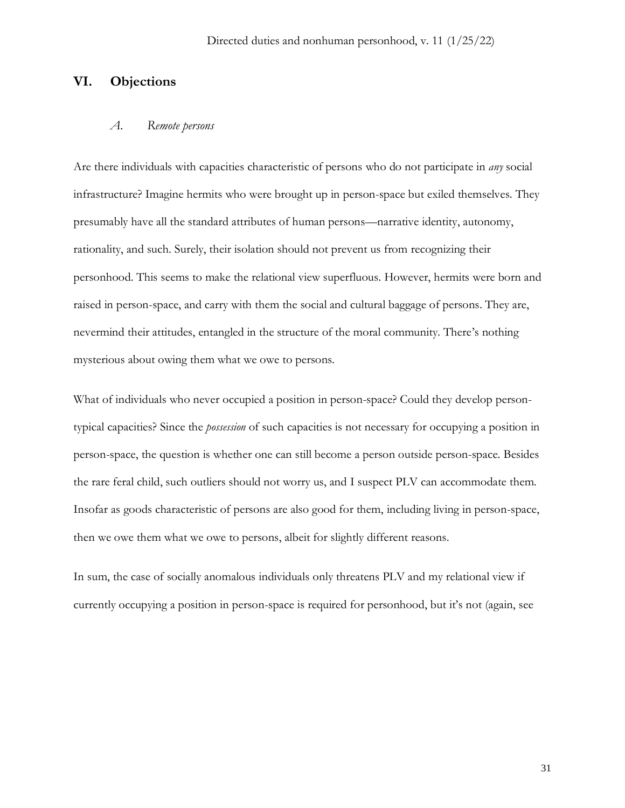# **VI. Objections**

### *A. Remote persons*

Are there individuals with capacities characteristic of persons who do not participate in *any* social infrastructure? Imagine hermits who were brought up in person-space but exiled themselves. They presumably have all the standard attributes of human persons—narrative identity, autonomy, rationality, and such. Surely, their isolation should not prevent us from recognizing their personhood. This seems to make the relational view superfluous. However, hermits were born and raised in person-space, and carry with them the social and cultural baggage of persons. They are, nevermind their attitudes, entangled in the structure of the moral community. There's nothing mysterious about owing them what we owe to persons.

What of individuals who never occupied a position in person-space? Could they develop persontypical capacities? Since the *possession* of such capacities is not necessary for occupying a position in person-space, the question is whether one can still become a person outside person-space. Besides the rare feral child, such outliers should not worry us, and I suspect PLV can accommodate them. Insofar as goods characteristic of persons are also good for them, including living in person-space, then we owe them what we owe to persons, albeit for slightly different reasons.

In sum, the case of socially anomalous individuals only threatens PLV and my relational view if currently occupying a position in person-space is required for personhood, but it's not (again, see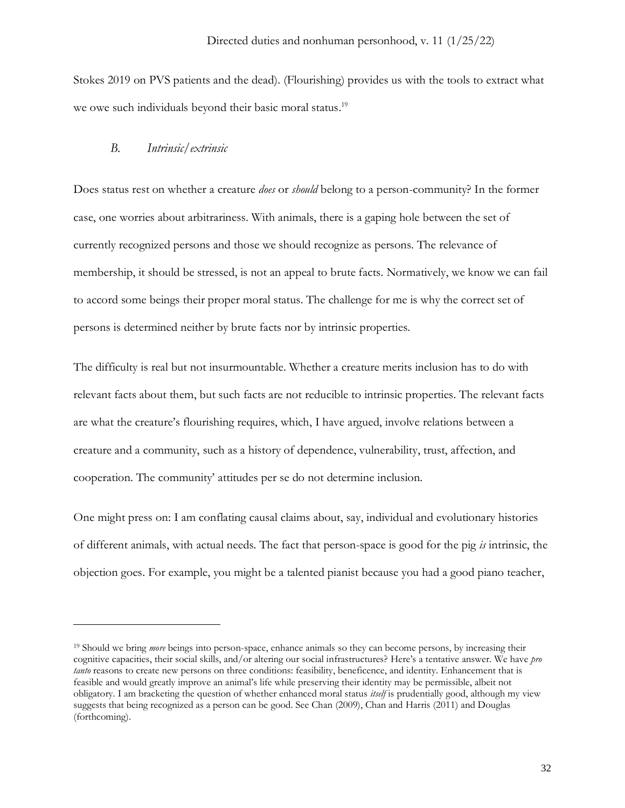Stokes 2019 on PVS patients and the dead). (Flourishing) provides us with the tools to extract what we owe such individuals beyond their basic moral status.<sup>19</sup>

### *B. Intrinsic/extrinsic*

Does status rest on whether a creature *does* or *should* belong to a person-community? In the former case, one worries about arbitrariness. With animals, there is a gaping hole between the set of currently recognized persons and those we should recognize as persons. The relevance of membership, it should be stressed, is not an appeal to brute facts. Normatively, we know we can fail to accord some beings their proper moral status. The challenge for me is why the correct set of persons is determined neither by brute facts nor by intrinsic properties.

The difficulty is real but not insurmountable. Whether a creature merits inclusion has to do with relevant facts about them, but such facts are not reducible to intrinsic properties. The relevant facts are what the creature's flourishing requires, which, I have argued, involve relations between a creature and a community, such as a history of dependence, vulnerability, trust, affection, and cooperation. The community' attitudes per se do not determine inclusion.

One might press on: I am conflating causal claims about, say, individual and evolutionary histories of different animals, with actual needs. The fact that person-space is good for the pig *is* intrinsic, the objection goes. For example, you might be a talented pianist because you had a good piano teacher,

<sup>&</sup>lt;sup>19</sup> Should we bring *more* beings into person-space, enhance animals so they can become persons, by increasing their cognitive capacities, their social skills, and/or altering our social infrastructures? Here's a tentative answer. We have *pro tanto* reasons to create new persons on three conditions: feasibility, beneficence, and identity. Enhancement that is feasible and would greatly improve an animal's life while preserving their identity may be permissible, albeit not obligatory. I am bracketing the question of whether enhanced moral status *itself* is prudentially good, although my view suggests that being recognized as a person can be good. See Chan (2009), Chan and Harris (2011) and Douglas (forthcoming).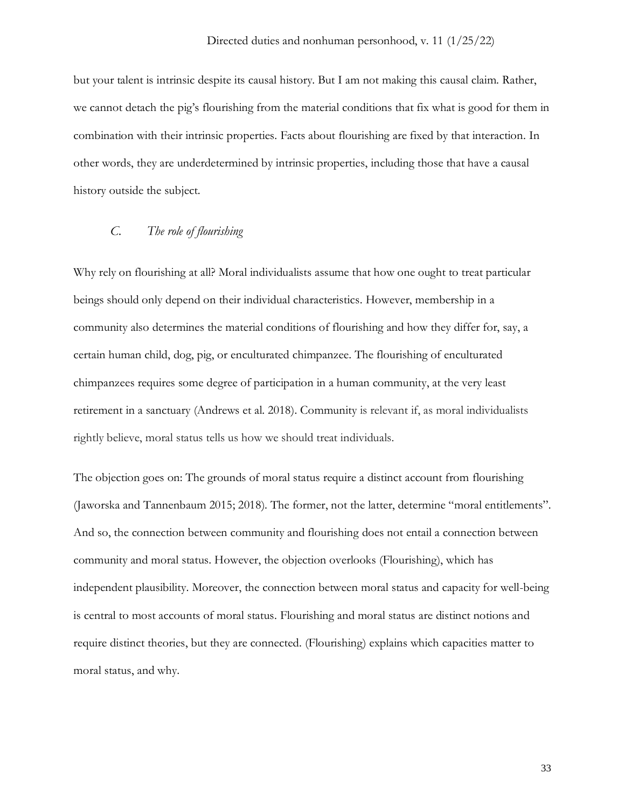but your talent is intrinsic despite its causal history. But I am not making this causal claim. Rather, we cannot detach the pig's flourishing from the material conditions that fix what is good for them in combination with their intrinsic properties. Facts about flourishing are fixed by that interaction. In other words, they are underdetermined by intrinsic properties, including those that have a causal history outside the subject.

## *C. The role of flourishing*

Why rely on flourishing at all? Moral individualists assume that how one ought to treat particular beings should only depend on their individual characteristics. However, membership in a community also determines the material conditions of flourishing and how they differ for, say, a certain human child, dog, pig, or enculturated chimpanzee. The flourishing of enculturated chimpanzees requires some degree of participation in a human community, at the very least retirement in a sanctuary (Andrews et al. 2018). Community is relevant if, as moral individualists rightly believe, moral status tells us how we should treat individuals.

The objection goes on: The grounds of moral status require a distinct account from flourishing (Jaworska and Tannenbaum 2015; 2018). The former, not the latter, determine "moral entitlements". And so, the connection between community and flourishing does not entail a connection between community and moral status. However, the objection overlooks (Flourishing), which has independent plausibility. Moreover, the connection between moral status and capacity for well-being is central to most accounts of moral status. Flourishing and moral status are distinct notions and require distinct theories, but they are connected. (Flourishing) explains which capacities matter to moral status, and why.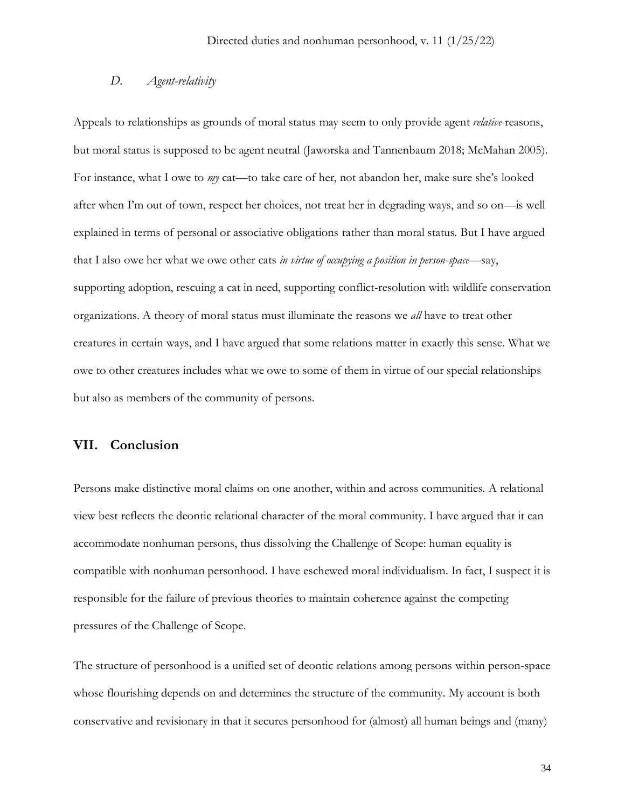### *D. Agent-relativity*

Appeals to relationships as grounds of moral status may seem to only provide agent *relative* reasons, but moral status is supposed to be agent neutral (Jaworska and Tannenbaum 2018; McMahan 2005). For instance, what I owe to *my* cat—to take care of her, not abandon her, make sure she's looked after when I'm out of town, respect her choices, not treat her in degrading ways, and so on—is well explained in terms of personal or associative obligations rather than moral status. But I have argued that I also owe her what we owe other cats *in virtue of occupying a position in person-space*—say, supporting adoption, rescuing a cat in need, supporting conflict-resolution with wildlife conservation organizations. A theory of moral status must illuminate the reasons we *all* have to treat other creatures in certain ways, and I have argued that some relations matter in exactly this sense. What we owe to other creatures includes what we owe to some of them in virtue of our special relationships but also as members of the community of persons.

## **VII. Conclusion**

Persons make distinctive moral claims on one another, within and across communities. A relational view best reflects the deontic relational character of the moral community. I have argued that it can accommodate nonhuman persons, thus dissolving the Challenge of Scope: human equality is compatible with nonhuman personhood. I have eschewed moral individualism. In fact, I suspect it is responsible for the failure of previous theories to maintain coherence against the competing pressures of the Challenge of Scope.

The structure of personhood is a unified set of deontic relations among persons within person-space whose flourishing depends on and determines the structure of the community. My account is both conservative and revisionary in that it secures personhood for (almost) all human beings and (many)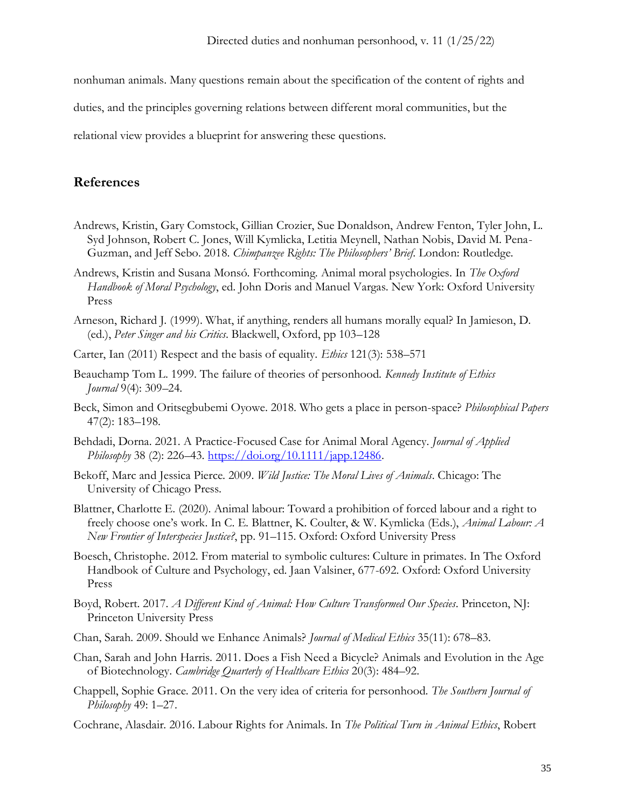nonhuman animals. Many questions remain about the specification of the content of rights and

duties, and the principles governing relations between different moral communities, but the

relational view provides a blueprint for answering these questions.

# **References**

- Andrews, Kristin, Gary Comstock, Gillian Crozier, Sue Donaldson, Andrew Fenton, Tyler John, L. Syd Johnson, Robert C. Jones, Will Kymlicka, Letitia Meynell, Nathan Nobis, David M. Pena-Guzman, and Jeff Sebo. 2018. *Chimpanzee Rights: The Philosophers' Brief*. London: Routledge.
- Andrews, Kristin and Susana Monsó. Forthcoming. Animal moral psychologies. In *The Oxford Handbook of Moral Psychology*, ed. John Doris and Manuel Vargas. New York: Oxford University Press
- Arneson, Richard J. (1999). What, if anything, renders all humans morally equal? In Jamieson, D. (ed.), *Peter Singer and his Critics*. Blackwell, Oxford, pp 103–128
- Carter, Ian (2011) Respect and the basis of equality. *Ethics* 121(3): 538–571
- Beauchamp Tom L. 1999. The failure of theories of personhood. *Kennedy Institute of Ethics Journal* 9(4): 309–24.
- Beck, Simon and Oritsegbubemi Oyowe. 2018. Who gets a place in person-space? *Philosophical Papers* 47(2): 183–198.
- Behdadi, Dorna. 2021. A Practice-Focused Case for Animal Moral Agency. *Journal of Applied Philosophy* 38 (2): 226–43. [https://doi.org/10.1111/japp.12486.](https://doi.org/10.1111/japp.12486)
- Bekoff, Marc and Jessica Pierce. 2009. *Wild Justice: The Moral Lives of Animals*. Chicago: The University of Chicago Press.
- Blattner, Charlotte E. (2020). Animal labour: Toward a prohibition of forced labour and a right to freely choose one's work. In C. E. Blattner, K. Coulter, & W. Kymlicka (Eds.), *Animal Labour: A New Frontier of Interspecies Justice?*, pp. 91–115. Oxford: Oxford University Press
- Boesch, Christophe. 2012. From material to symbolic cultures: Culture in primates. In The Oxford Handbook of Culture and Psychology, ed. Jaan Valsiner, 677-692. Oxford: Oxford University Press
- Boyd, Robert. 2017. *A Different Kind of Animal: How Culture Transformed Our Species*. Princeton, NJ: Princeton University Press
- Chan, Sarah. 2009. Should we Enhance Animals? *Journal of Medical Ethics* 35(11): 678–83.
- Chan, Sarah and John Harris. 2011. Does a Fish Need a Bicycle? Animals and Evolution in the Age of Biotechnology. *Cambridge Quarterly of Healthcare Ethics* 20(3): 484–92.
- Chappell, Sophie Grace. 2011. On the very idea of criteria for personhood. *The Southern Journal of Philosophy* 49: 1–27.
- Cochrane, Alasdair. 2016. Labour Rights for Animals. In *The Political Turn in Animal Ethics*, Robert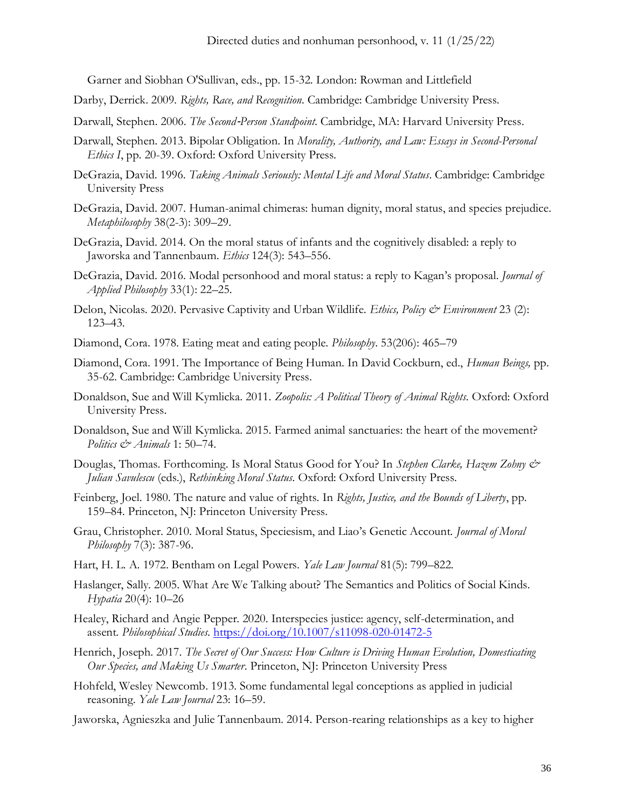Garner and Siobhan O'Sullivan, eds., pp. 15-32. London: Rowman and Littlefield

- Darby, Derrick. 2009. *Rights, Race, and Recognition*. Cambridge: Cambridge University Press.
- Darwall, Stephen. 2006. *The Second*‐*Person Standpoint*. Cambridge, MA: Harvard University Press.
- Darwall, Stephen. 2013. Bipolar Obligation. In *Morality, Authority, and Law: Essays in Second-Personal Ethics I*, pp. 20-39. Oxford: Oxford University Press.
- DeGrazia, David. 1996. *Taking Animals Seriously: Mental Life and Moral Status*. Cambridge: Cambridge University Press
- DeGrazia, David. 2007. Human-animal chimeras: human dignity, moral status, and species prejudice. *Metaphilosophy* 38(2-3): 309–29.
- DeGrazia, David. 2014. On the moral status of infants and the cognitively disabled: a reply to Jaworska and Tannenbaum. *Ethics* 124(3): 543–556.
- DeGrazia, David. 2016. Modal personhood and moral status: a reply to Kagan's proposal. *Journal of Applied Philosophy* 33(1): 22–25.
- Delon, Nicolas. 2020. Pervasive Captivity and Urban Wildlife. *Ethics, Policy & Environment* 23 (2): 123–43.
- Diamond, Cora. 1978. Eating meat and eating people. *Philosophy*. 53(206): 465–79
- Diamond, Cora. 1991. The Importance of Being Human. In David Cockburn, ed., *Human Beings,* pp. 35-62. Cambridge: Cambridge University Press.
- Donaldson, Sue and Will Kymlicka. 2011. *Zoopolis: A Political Theory of Animal Rights*. Oxford: Oxford University Press.
- Donaldson, Sue and Will Kymlicka. 2015. Farmed animal sanctuaries: the heart of the movement? *Politics & Animals* 1: 50–74.
- Douglas, Thomas. Forthcoming. Is Moral Status Good for You? In *Stephen Clarke, Hazem Zohny & Julian Savulescu* (eds.), *Rethinking Moral Status*. Oxford: Oxford University Press.
- Feinberg, Joel. 1980. The nature and value of rights. In *Rights, Justice, and the Bounds of Liberty*, pp. 159–84. Princeton, NJ: Princeton University Press.
- Grau, Christopher. 2010. Moral Status, Speciesism, and Liao's Genetic Account. *Journal of Moral Philosophy* 7(3): 387-96.
- Hart, H. L. A. 1972. Bentham on Legal Powers. *Yale Law Journal* 81(5): 799–822.
- Haslanger, Sally. 2005. What Are We Talking about? The Semantics and Politics of Social Kinds. *Hypatia* 20(4): 10–26
- Healey, Richard and Angie Pepper. 2020. Interspecies justice: agency, self-determination, and assent. *Philosophical Studies*.<https://doi.org/10.1007/s11098-020-01472-5>
- Henrich, Joseph. 2017. *The Secret of Our Success: How Culture is Driving Human Evolution, Domesticating Our Species, and Making Us Smarter*. Princeton, NJ: Princeton University Press
- Hohfeld, Wesley Newcomb. 1913. Some fundamental legal conceptions as applied in judicial reasoning. *Yale Law Journal* 23: 16–59.
- Jaworska, Agnieszka and Julie Tannenbaum. 2014. Person-rearing relationships as a key to higher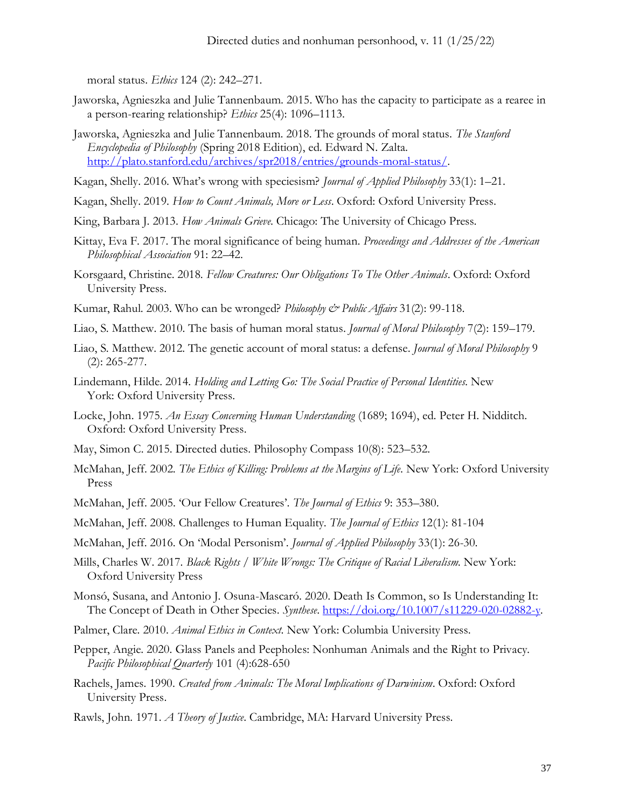moral status. *Ethics* 124 (2): 242–271.

- Jaworska, Agnieszka and Julie Tannenbaum. 2015. Who has the capacity to participate as a rearee in a person-rearing relationship? *Ethics* 25(4): 1096–1113.
- Jaworska, Agnieszka and Julie Tannenbaum. 2018. The grounds of moral status. *The Stanford Encyclopedia of Philosophy* (Spring 2018 Edition), ed. Edward N. Zalta. [http://plato.stanford.edu/archives/spr2018/entries/grounds-moral-status/.](http://plato.stanford.edu/archives/spr2018/entries/grounds-moral-status/)
- Kagan, Shelly. 2016. What's wrong with speciesism? *Journal of Applied Philosophy* 33(1): 1–21.
- Kagan, Shelly. 2019. *How to Count Animals, More or Less*. Oxford: Oxford University Press.
- King, Barbara J. 2013. *How Animals Grieve*. Chicago: The University of Chicago Press.
- Kittay, Eva F. 2017. The moral significance of being human. *Proceedings and Addresses of the American Philosophical Association* 91: 22–42.
- Korsgaard, Christine. 2018. *Fellow Creatures: Our Obligations To The Other Animals*. Oxford: Oxford University Press.
- Kumar, Rahul. 2003. Who can be wronged? *Philosophy & Public Affairs* 31(2): 99-118.
- Liao, S. Matthew. 2010. The basis of human moral status. *Journal of Moral Philosophy* 7(2): 159–179.
- Liao, S. Matthew. 2012. The genetic account of moral status: a defense. *Journal of Moral Philosophy* 9 (2): 265-277.
- Lindemann, Hilde. 2014. *Holding and Letting Go: The Social Practice of Personal Identities*. New York: Oxford University Press.
- Locke, John. 1975. *An Essay Concerning Human Understanding* (1689; 1694), ed. Peter H. Nidditch. Oxford: Oxford University Press.
- May, Simon C. 2015. Directed duties. Philosophy Compass 10(8): 523–532.
- McMahan, Jeff. 2002. *The Ethics of Killing: Problems at the Margins of Life*. New York: Oxford University Press
- McMahan, Jeff. 2005. 'Our Fellow Creatures'. *The Journal of Ethics* 9: 353–380.
- McMahan, Jeff. 2008. Challenges to Human Equality. *The Journal of Ethics* 12(1): 81-104
- McMahan, Jeff. 2016. On 'Modal Personism'. *Journal of Applied Philosophy* 33(1): 26-30.
- Mills, Charles W. 2017. *Black Rights / White Wrongs: The Critique of Racial Liberalism*. New York: Oxford University Press
- Monsó, Susana, and Antonio J. Osuna-Mascaró. 2020. Death Is Common, so Is Understanding It: The Concept of Death in Other Species. *Synthese*. [https://doi.org/10.1007/s11229-020-02882-y.](https://doi.org/10.1007/s11229-020-02882-y)
- Palmer, Clare. 2010. *Animal Ethics in Context*. New York: Columbia University Press.
- Pepper, Angie. 2020. Glass Panels and Peepholes: Nonhuman Animals and the Right to Privacy. *Pacific Philosophical Quarterly* 101 (4):628-650
- Rachels, James. 1990. *Created from Animals: The Moral Implications of Darwinism*. Oxford: Oxford University Press.
- Rawls, John. 1971. *A Theory of Justice*. Cambridge, MA: Harvard University Press.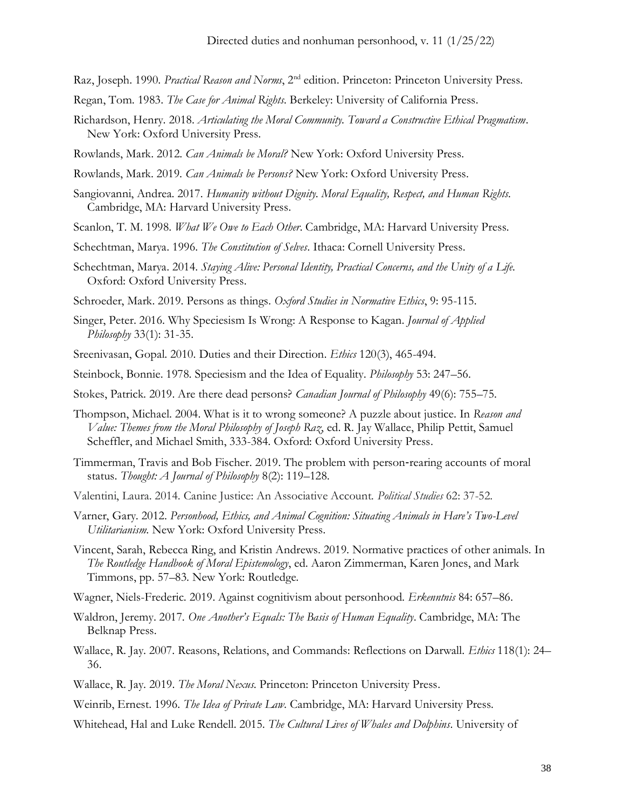- Raz, Joseph. 1990. *Practical Reason and Norms*, 2<sup>nd</sup> edition. Princeton: Princeton University Press.
- Regan, Tom. 1983. *The Case for Animal Rights*. Berkeley: University of California Press.
- Richardson, Henry. 2018. *Articulating the Moral Community. Toward a Constructive Ethical Pragmatism*. New York: Oxford University Press.
- Rowlands, Mark. 2012. *Can Animals be Moral?* New York: Oxford University Press.
- Rowlands, Mark. 2019. *Can Animals be Persons?* New York: Oxford University Press.
- Sangiovanni, Andrea. 2017. *Humanity without Dignity. Moral Equality, Respect, and Human Rights*. Cambridge, MA: Harvard University Press.
- Scanlon, T. M. 1998. *What We Owe to Each Other*. Cambridge, MA: Harvard University Press.
- Schechtman, Marya. 1996. *The Constitution of Selves*. Ithaca: Cornell University Press.
- Schechtman, Marya. 2014. *Staying Alive: Personal Identity, Practical Concerns, and the Unity of a Life*. Oxford: Oxford University Press.
- Schroeder, Mark. 2019. Persons as things. *Oxford Studies in Normative Ethics*, 9: 95-115.
- Singer, Peter. 2016. Why Speciesism Is Wrong: A Response to Kagan. *Journal of Applied Philosophy* 33(1): 31-35.
- Sreenivasan, Gopal. 2010. Duties and their Direction. *Ethics* 120(3), 465-494.
- Steinbock, Bonnie. 1978. Speciesism and the Idea of Equality. *Philosophy* 53: 247–56.
- Stokes, Patrick. 2019. Are there dead persons? *Canadian Journal of Philosophy* 49(6): 755–75.
- Thompson, Michael. 2004. What is it to wrong someone? A puzzle about justice. In *Reason and Value: Themes from the Moral Philosophy of Joseph Raz*, ed. R. Jay Wallace, Philip Pettit, Samuel Scheffler, and Michael Smith, 333-384. Oxford: Oxford University Press.
- Timmerman, Travis and Bob Fischer. 2019. The problem with person‐rearing accounts of moral status. *Thought: A Journal of Philosophy* 8(2): 119–128.
- Valentini, Laura. 2014. Canine Justice: An Associative Account. *Political Studies* 62: 37-52.
- Varner, Gary. 2012. *Personhood, Ethics, and Animal Cognition: Situating Animals in Hare's Two-Level Utilitarianism*. New York: Oxford University Press.
- Vincent, Sarah, Rebecca Ring, and Kristin Andrews. 2019. Normative practices of other animals. In *The Routledge Handbook of Moral Epistemology*, ed. Aaron Zimmerman, Karen Jones, and Mark Timmons, pp. 57–83. New York: Routledge.
- Wagner, Niels-Frederic. 2019. Against cognitivism about personhood. *Erkenntnis* 84: 657–86.
- Waldron, Jeremy. 2017. *One Another's Equals: The Basis of Human Equality*. Cambridge, MA: The Belknap Press.
- Wallace, R. Jay. 2007. Reasons, Relations, and Commands: Reflections on Darwall. *Ethics* 118(1): 24– 36.
- Wallace, R. Jay. 2019. *The Moral Nexus*. Princeton: Princeton University Press.

Weinrib, Ernest. 1996. *The Idea of Private Law*. Cambridge, MA: Harvard University Press.

Whitehead, Hal and Luke Rendell. 2015. *The Cultural Lives of Whales and Dolphins*. University of